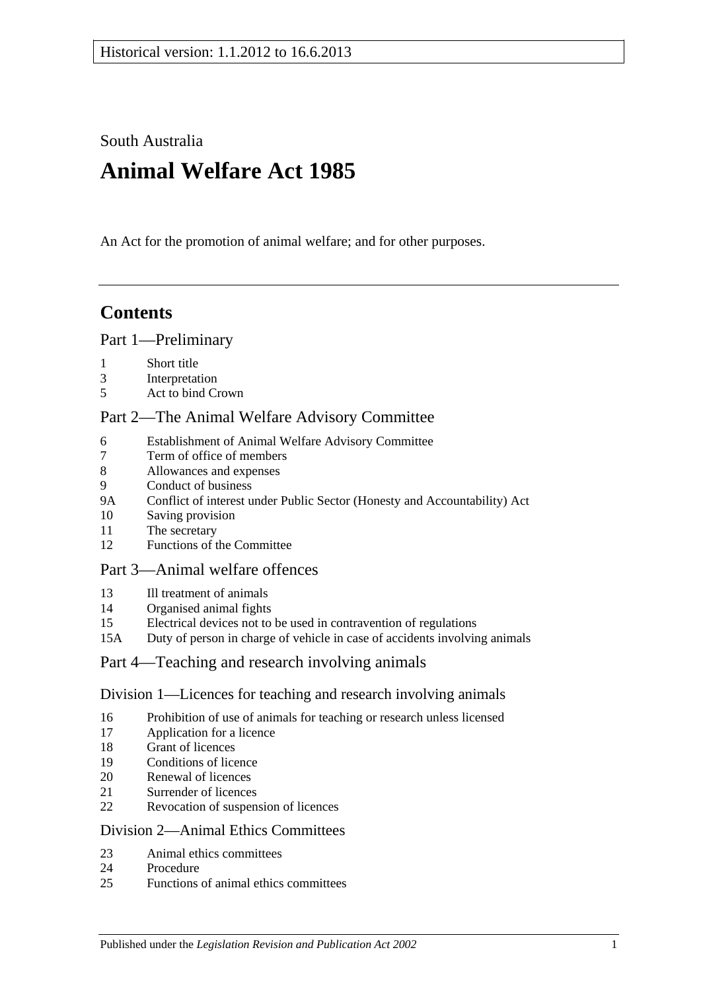South Australia

# **Animal Welfare Act 1985**

An Act for the promotion of animal welfare; and for other purposes.

# **Contents**

## [Part 1—Preliminary](#page-1-0)

- [Short title](#page-1-1)
- [Interpretation](#page-2-0)
- [Act to bind Crown](#page-3-0)

## [Part 2—The Animal Welfare Advisory Committee](#page-3-1)

- [Establishment of Animal Welfare Advisory Committee](#page-3-2)
- [Term of office of members](#page-4-0)<br>8 Allowances and expenses
- [Allowances and expenses](#page-4-1)
- [Conduct of business](#page-5-0)
- 9A [Conflict of interest under Public Sector \(Honesty and Accountability\) Act](#page-5-1)
- [Saving provision](#page-5-2)
- [The secretary](#page-5-3)
- [Functions of the Committee](#page-5-4)

## [Part 3—Animal welfare offences](#page-6-0)

- [Ill treatment of animals](#page-6-1)
- [Organised animal fights](#page-7-0)
- [Electrical devices not to be used in contravention of regulations](#page-8-0)
- 15A [Duty of person in charge of vehicle in case of accidents involving animals](#page-8-1)

## [Part 4—Teaching and research involving animals](#page-8-2)

#### [Division 1—Licences for teaching and research involving animals](#page-8-3)

- [Prohibition of use of animals for teaching or research unless licensed](#page-8-4)
- [Application for a licence](#page-8-5)
- [Grant of licences](#page-9-0)
- [Conditions of licence](#page-9-1)
- [Renewal of licences](#page-10-0)
- [Surrender of licences](#page-10-1)
- [Revocation of suspension of licences](#page-10-2)

#### [Division 2—Animal Ethics Committees](#page-10-3)

- [Animal ethics committees](#page-10-4)
- [Procedure](#page-11-0)
- [Functions of animal ethics committees](#page-11-1)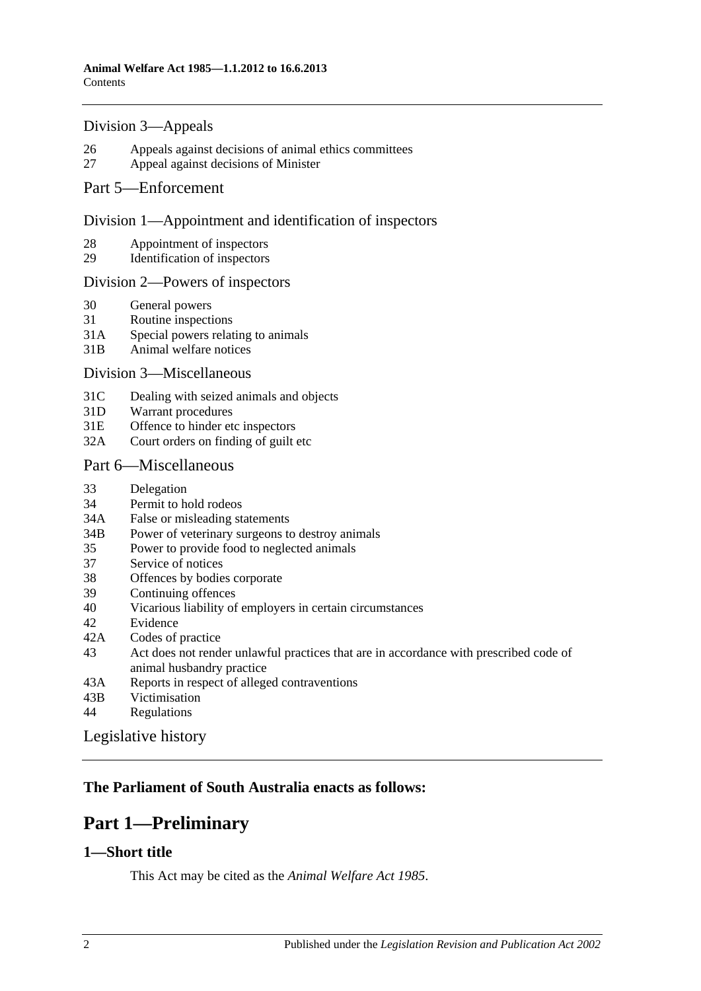#### [Division 3—Appeals](#page-12-0)

- 26 [Appeals against decisions of animal ethics committees](#page-12-1)
- 27 [Appeal against decisions of Minister](#page-12-2)

## [Part 5—Enforcement](#page-13-0)

## [Division 1—Appointment and identification of inspectors](#page-13-1)

- 28 [Appointment of inspectors](#page-13-2)
- 29 [Identification of inspectors](#page-13-3)

#### [Division 2—Powers of inspectors](#page-14-0)

- 30 [General powers](#page-14-1)
- 31 [Routine inspections](#page-15-0)
- 31A [Special powers relating to animals](#page-16-0)
- 31B [Animal welfare notices](#page-17-0)

#### [Division 3—Miscellaneous](#page-17-1)

- 31C [Dealing with seized animals and objects](#page-17-2)
- 31D [Warrant procedures](#page-18-0)
- 31E [Offence to hinder etc inspectors](#page-19-0)
- 32A [Court orders on finding of guilt etc](#page-19-1)

#### [Part 6—Miscellaneous](#page-20-0)

- 33 [Delegation](#page-20-1)
- 34 [Permit to hold rodeos](#page-20-2)
- 34A [False or misleading statements](#page-20-3)
- 34B [Power of veterinary surgeons to destroy animals](#page-21-0)
- 35 [Power to provide food to neglected animals](#page-21-1)
- 37 [Service of notices](#page-21-2)
- 38 [Offences by bodies corporate](#page-21-3)
- 39 [Continuing offences](#page-22-0)
- 40 [Vicarious liability of employers in certain circumstances](#page-22-1)
- 42 [Evidence](#page-22-2)
- 42A [Codes of practice](#page-22-3)
- 43 [Act does not render unlawful practices that are in accordance with prescribed code of](#page-23-0)  [animal husbandry practice](#page-23-0)
- 43A [Reports in respect of alleged contraventions](#page-23-1)
- 43B [Victimisation](#page-23-2)
- 44 [Regulations](#page-24-0)

[Legislative history](#page-25-0)

## <span id="page-1-0"></span>**The Parliament of South Australia enacts as follows:**

# **Part 1—Preliminary**

#### <span id="page-1-1"></span>**1—Short title**

This Act may be cited as the *Animal Welfare Act 1985*.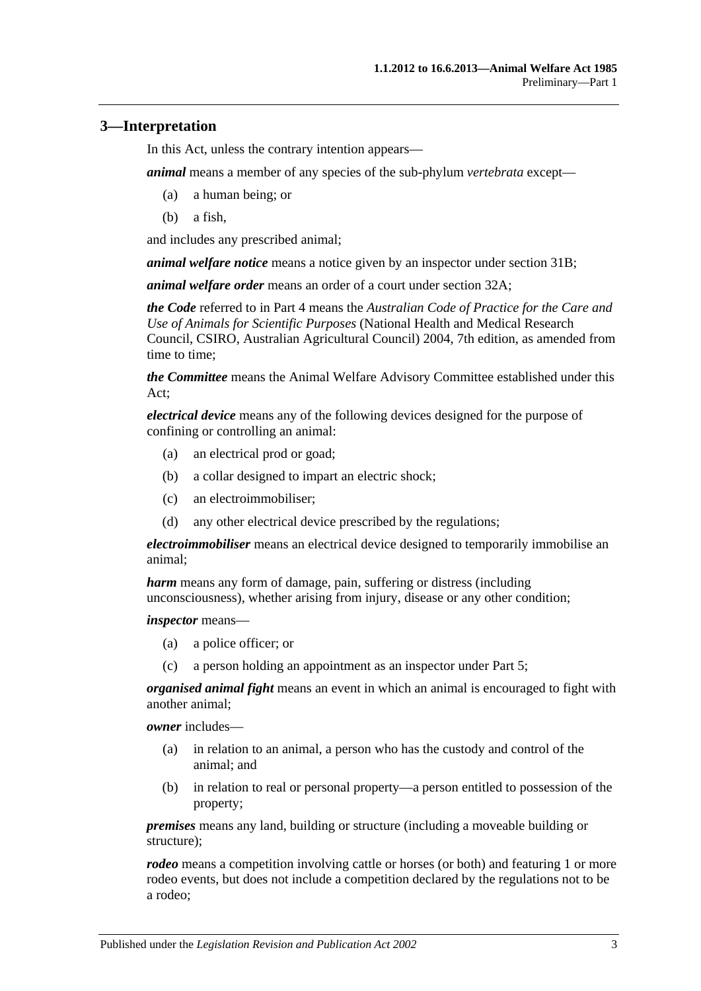## <span id="page-2-0"></span>**3—Interpretation**

In this Act, unless the contrary intention appears—

*animal* means a member of any species of the sub-phylum *vertebrata* except—

- (a) a human being; or
- (b) a fish,

and includes any prescribed animal;

*animal welfare notice* means a notice given by an inspector under [section](#page-17-0) 31B;

*animal welfare order* means an order of a court under [section](#page-19-1) 32A;

*the Code* referred to in [Part 4](#page-8-2) means the *Australian Code of Practice for the Care and Use of Animals for Scientific Purposes* (National Health and Medical Research Council, CSIRO, Australian Agricultural Council) 2004, 7th edition, as amended from time to time;

*the Committee* means the Animal Welfare Advisory Committee established under this Act;

*electrical device* means any of the following devices designed for the purpose of confining or controlling an animal:

- (a) an electrical prod or goad;
- (b) a collar designed to impart an electric shock;
- (c) an electroimmobiliser;
- (d) any other electrical device prescribed by the regulations;

*electroimmobiliser* means an electrical device designed to temporarily immobilise an animal;

*harm* means any form of damage, pain, suffering or distress (including unconsciousness), whether arising from injury, disease or any other condition;

*inspector* means—

- (a) a police officer; or
- (c) a person holding an appointment as an inspector under [Part 5;](#page-13-0)

*organised animal fight* means an event in which an animal is encouraged to fight with another animal;

*owner* includes—

- (a) in relation to an animal, a person who has the custody and control of the animal; and
- (b) in relation to real or personal property—a person entitled to possession of the property;

*premises* means any land, building or structure (including a moveable building or structure);

*rodeo* means a competition involving cattle or horses (or both) and featuring 1 or more rodeo events, but does not include a competition declared by the regulations not to be a rodeo;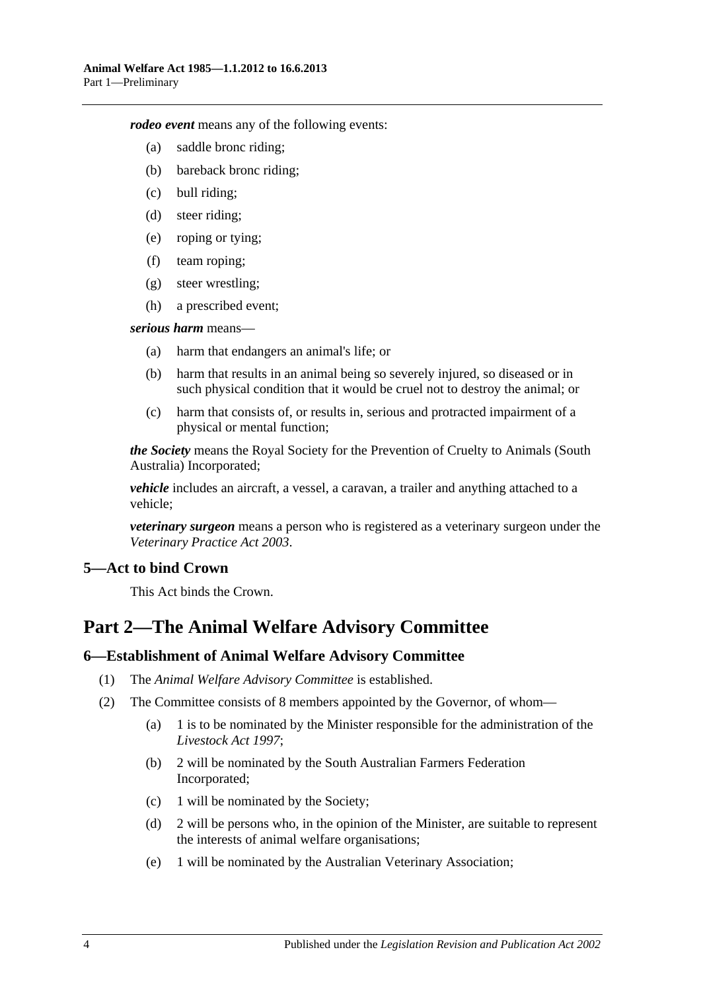*rodeo event* means any of the following events:

- (a) saddle bronc riding;
- (b) bareback bronc riding;
- (c) bull riding;
- (d) steer riding;
- (e) roping or tying;
- (f) team roping;
- (g) steer wrestling;
- (h) a prescribed event;

#### *serious harm* means—

- (a) harm that endangers an animal's life; or
- (b) harm that results in an animal being so severely injured, so diseased or in such physical condition that it would be cruel not to destroy the animal; or
- (c) harm that consists of, or results in, serious and protracted impairment of a physical or mental function;

*the Society* means the Royal Society for the Prevention of Cruelty to Animals (South Australia) Incorporated;

*vehicle* includes an aircraft, a vessel, a caravan, a trailer and anything attached to a vehicle;

*veterinary surgeon* means a person who is registered as a veterinary surgeon under the *[Veterinary Practice Act](http://www.legislation.sa.gov.au/index.aspx?action=legref&type=act&legtitle=Veterinary%20Practice%20Act%202003) 2003*.

## <span id="page-3-0"></span>**5—Act to bind Crown**

This Act binds the Crown.

# <span id="page-3-1"></span>**Part 2—The Animal Welfare Advisory Committee**

#### <span id="page-3-2"></span>**6—Establishment of Animal Welfare Advisory Committee**

- (1) The *Animal Welfare Advisory Committee* is established.
- (2) The Committee consists of 8 members appointed by the Governor, of whom—
	- (a) 1 is to be nominated by the Minister responsible for the administration of the *[Livestock Act](http://www.legislation.sa.gov.au/index.aspx?action=legref&type=act&legtitle=Livestock%20Act%201997) 1997*;
	- (b) 2 will be nominated by the South Australian Farmers Federation Incorporated;
	- (c) 1 will be nominated by the Society;
	- (d) 2 will be persons who, in the opinion of the Minister, are suitable to represent the interests of animal welfare organisations;
	- (e) 1 will be nominated by the Australian Veterinary Association;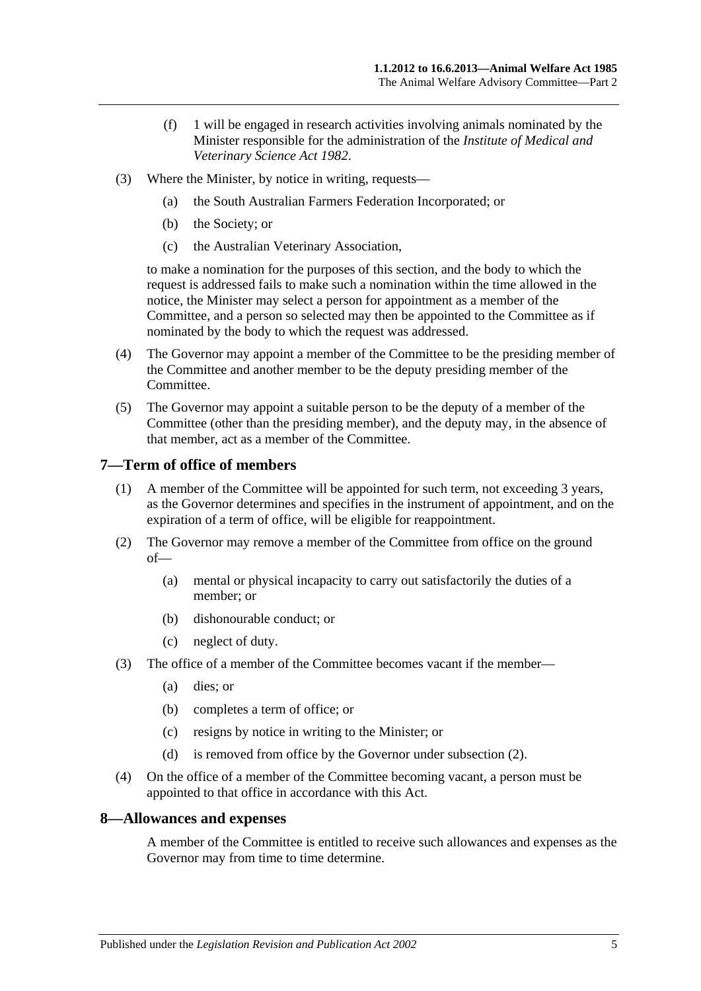- (f) 1 will be engaged in research activities involving animals nominated by the Minister responsible for the administration of the *[Institute of Medical and](http://www.legislation.sa.gov.au/index.aspx?action=legref&type=act&legtitle=Institute%20of%20Medical%20and%20Veterinary%20Science%20Act%201982)  [Veterinary Science Act](http://www.legislation.sa.gov.au/index.aspx?action=legref&type=act&legtitle=Institute%20of%20Medical%20and%20Veterinary%20Science%20Act%201982) 1982*.
- (3) Where the Minister, by notice in writing, requests—
	- (a) the South Australian Farmers Federation Incorporated; or
	- (b) the Society; or
	- (c) the Australian Veterinary Association,

to make a nomination for the purposes of this section, and the body to which the request is addressed fails to make such a nomination within the time allowed in the notice, the Minister may select a person for appointment as a member of the Committee, and a person so selected may then be appointed to the Committee as if nominated by the body to which the request was addressed.

- (4) The Governor may appoint a member of the Committee to be the presiding member of the Committee and another member to be the deputy presiding member of the Committee.
- (5) The Governor may appoint a suitable person to be the deputy of a member of the Committee (other than the presiding member), and the deputy may, in the absence of that member, act as a member of the Committee.

## <span id="page-4-0"></span>**7—Term of office of members**

- (1) A member of the Committee will be appointed for such term, not exceeding 3 years, as the Governor determines and specifies in the instrument of appointment, and on the expiration of a term of office, will be eligible for reappointment.
- <span id="page-4-2"></span>(2) The Governor may remove a member of the Committee from office on the ground of—
	- (a) mental or physical incapacity to carry out satisfactorily the duties of a member; or
	- (b) dishonourable conduct; or
	- (c) neglect of duty.
- (3) The office of a member of the Committee becomes vacant if the member—
	- (a) dies; or
	- (b) completes a term of office; or
	- (c) resigns by notice in writing to the Minister; or
	- (d) is removed from office by the Governor under [subsection](#page-4-2) (2).
- (4) On the office of a member of the Committee becoming vacant, a person must be appointed to that office in accordance with this Act.

#### <span id="page-4-1"></span>**8—Allowances and expenses**

A member of the Committee is entitled to receive such allowances and expenses as the Governor may from time to time determine.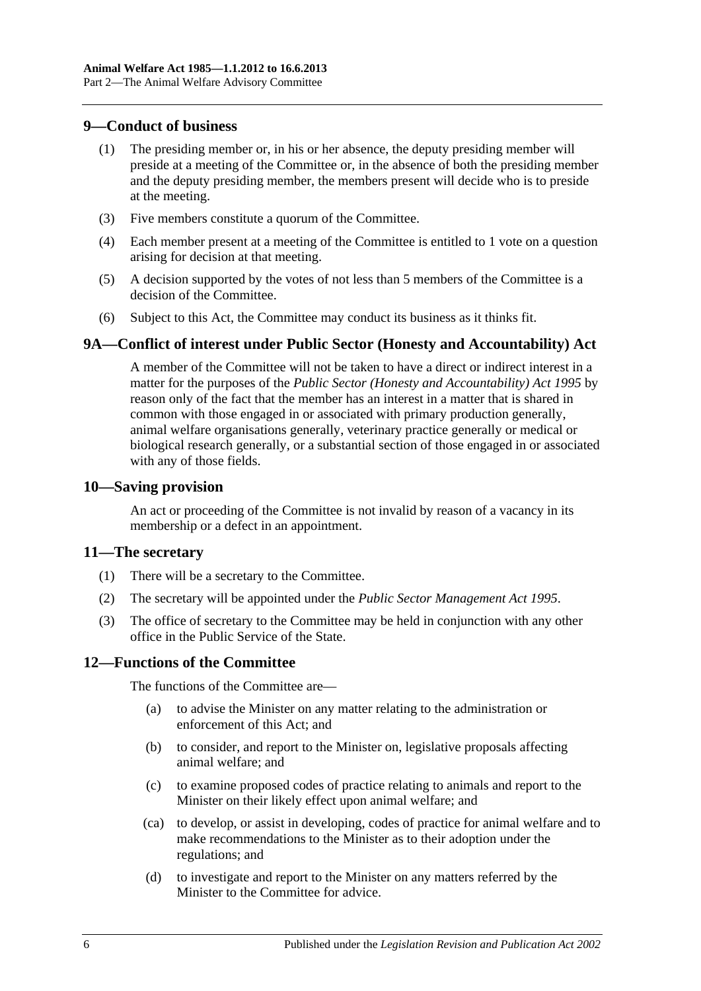#### <span id="page-5-0"></span>**9—Conduct of business**

- (1) The presiding member or, in his or her absence, the deputy presiding member will preside at a meeting of the Committee or, in the absence of both the presiding member and the deputy presiding member, the members present will decide who is to preside at the meeting.
- (3) Five members constitute a quorum of the Committee.
- (4) Each member present at a meeting of the Committee is entitled to 1 vote on a question arising for decision at that meeting.
- (5) A decision supported by the votes of not less than 5 members of the Committee is a decision of the Committee.
- (6) Subject to this Act, the Committee may conduct its business as it thinks fit.

## <span id="page-5-1"></span>**9A—Conflict of interest under Public Sector (Honesty and Accountability) Act**

A member of the Committee will not be taken to have a direct or indirect interest in a matter for the purposes of the *[Public Sector \(Honesty and Accountability\) Act](http://www.legislation.sa.gov.au/index.aspx?action=legref&type=act&legtitle=Public%20Sector%20(Honesty%20and%20Accountability)%20Act%201995) 1995* by reason only of the fact that the member has an interest in a matter that is shared in common with those engaged in or associated with primary production generally, animal welfare organisations generally, veterinary practice generally or medical or biological research generally, or a substantial section of those engaged in or associated with any of those fields.

#### <span id="page-5-2"></span>**10—Saving provision**

An act or proceeding of the Committee is not invalid by reason of a vacancy in its membership or a defect in an appointment.

#### <span id="page-5-3"></span>**11—The secretary**

- (1) There will be a secretary to the Committee.
- (2) The secretary will be appointed under the *[Public Sector Management Act](http://www.legislation.sa.gov.au/index.aspx?action=legref&type=act&legtitle=Public%20Sector%20Management%20Act%201995) 1995*.
- (3) The office of secretary to the Committee may be held in conjunction with any other office in the Public Service of the State.

## <span id="page-5-4"></span>**12—Functions of the Committee**

The functions of the Committee are—

- (a) to advise the Minister on any matter relating to the administration or enforcement of this Act; and
- (b) to consider, and report to the Minister on, legislative proposals affecting animal welfare; and
- (c) to examine proposed codes of practice relating to animals and report to the Minister on their likely effect upon animal welfare; and
- (ca) to develop, or assist in developing, codes of practice for animal welfare and to make recommendations to the Minister as to their adoption under the regulations; and
- (d) to investigate and report to the Minister on any matters referred by the Minister to the Committee for advice.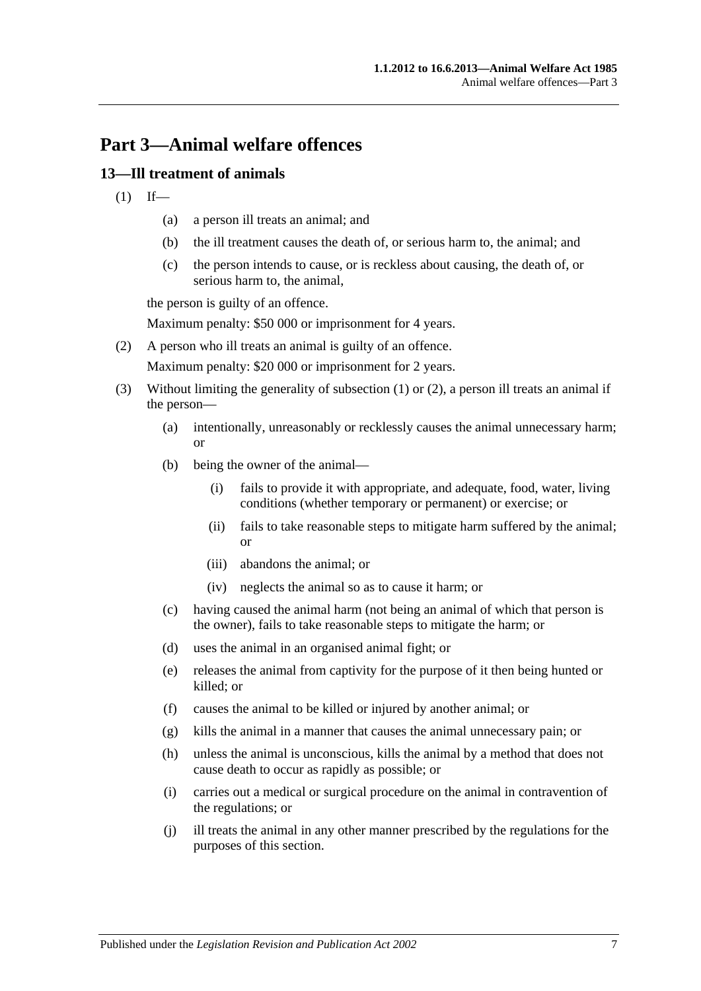# <span id="page-6-0"></span>**Part 3—Animal welfare offences**

## <span id="page-6-2"></span><span id="page-6-1"></span>**13—Ill treatment of animals**

- $(1)$  If—
	- (a) a person ill treats an animal; and
	- (b) the ill treatment causes the death of, or serious harm to, the animal; and
	- (c) the person intends to cause, or is reckless about causing, the death of, or serious harm to, the animal,

the person is guilty of an offence.

Maximum penalty: \$50 000 or imprisonment for 4 years.

<span id="page-6-3"></span>(2) A person who ill treats an animal is guilty of an offence.

Maximum penalty: \$20 000 or imprisonment for 2 years.

- (3) Without limiting the generality of [subsection](#page-6-2) (1) or [\(2\),](#page-6-3) a person ill treats an animal if the person—
	- (a) intentionally, unreasonably or recklessly causes the animal unnecessary harm; or
	- (b) being the owner of the animal—
		- (i) fails to provide it with appropriate, and adequate, food, water, living conditions (whether temporary or permanent) or exercise; or
		- (ii) fails to take reasonable steps to mitigate harm suffered by the animal; or
		- (iii) abandons the animal; or
		- (iv) neglects the animal so as to cause it harm; or
	- (c) having caused the animal harm (not being an animal of which that person is the owner), fails to take reasonable steps to mitigate the harm; or
	- (d) uses the animal in an organised animal fight; or
	- (e) releases the animal from captivity for the purpose of it then being hunted or killed; or
	- (f) causes the animal to be killed or injured by another animal; or
	- (g) kills the animal in a manner that causes the animal unnecessary pain; or
	- (h) unless the animal is unconscious, kills the animal by a method that does not cause death to occur as rapidly as possible; or
	- (i) carries out a medical or surgical procedure on the animal in contravention of the regulations; or
	- (j) ill treats the animal in any other manner prescribed by the regulations for the purposes of this section.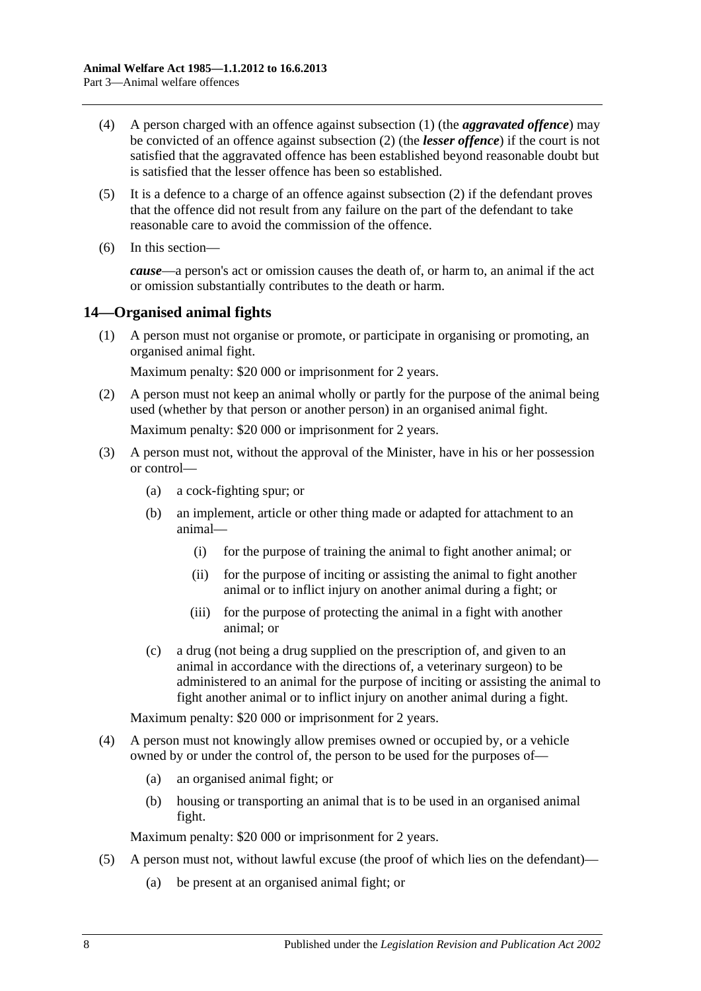- (4) A person charged with an offence against [subsection](#page-6-2) (1) (the *aggravated offence*) may be convicted of an offence against [subsection](#page-6-3) (2) (the *lesser offence*) if the court is not satisfied that the aggravated offence has been established beyond reasonable doubt but is satisfied that the lesser offence has been so established.
- (5) It is a defence to a charge of an offence against [subsection](#page-6-3) (2) if the defendant proves that the offence did not result from any failure on the part of the defendant to take reasonable care to avoid the commission of the offence.
- (6) In this section—

*cause*—a person's act or omission causes the death of, or harm to, an animal if the act or omission substantially contributes to the death or harm.

## <span id="page-7-1"></span><span id="page-7-0"></span>**14—Organised animal fights**

(1) A person must not organise or promote, or participate in organising or promoting, an organised animal fight.

Maximum penalty: \$20 000 or imprisonment for 2 years.

- <span id="page-7-2"></span>(2) A person must not keep an animal wholly or partly for the purpose of the animal being used (whether by that person or another person) in an organised animal fight. Maximum penalty: \$20 000 or imprisonment for 2 years.
- (3) A person must not, without the approval of the Minister, have in his or her possession or control—
	- (a) a cock-fighting spur; or
	- (b) an implement, article or other thing made or adapted for attachment to an animal—
		- (i) for the purpose of training the animal to fight another animal; or
		- (ii) for the purpose of inciting or assisting the animal to fight another animal or to inflict injury on another animal during a fight; or
		- (iii) for the purpose of protecting the animal in a fight with another animal; or
	- (c) a drug (not being a drug supplied on the prescription of, and given to an animal in accordance with the directions of, a veterinary surgeon) to be administered to an animal for the purpose of inciting or assisting the animal to fight another animal or to inflict injury on another animal during a fight.

Maximum penalty: \$20 000 or imprisonment for 2 years.

- <span id="page-7-3"></span>(4) A person must not knowingly allow premises owned or occupied by, or a vehicle owned by or under the control of, the person to be used for the purposes of—
	- (a) an organised animal fight; or
	- (b) housing or transporting an animal that is to be used in an organised animal fight.

Maximum penalty: \$20 000 or imprisonment for 2 years.

- (5) A person must not, without lawful excuse (the proof of which lies on the defendant)—
	- (a) be present at an organised animal fight; or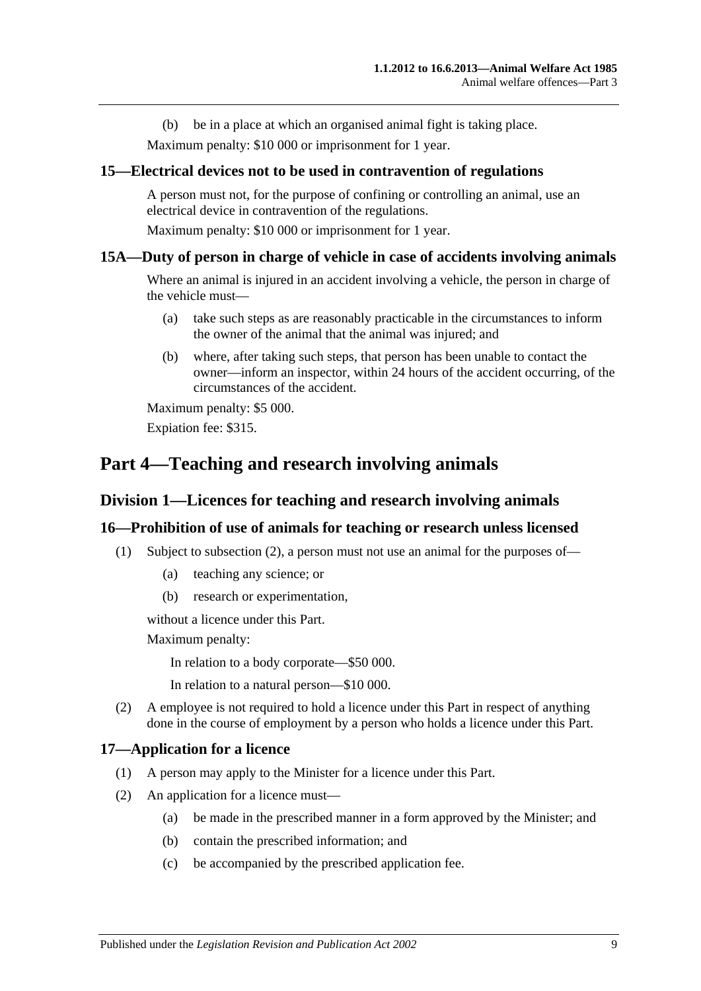(b) be in a place at which an organised animal fight is taking place.

Maximum penalty: \$10 000 or imprisonment for 1 year.

#### <span id="page-8-0"></span>**15—Electrical devices not to be used in contravention of regulations**

A person must not, for the purpose of confining or controlling an animal, use an electrical device in contravention of the regulations.

Maximum penalty: \$10 000 or imprisonment for 1 year.

#### <span id="page-8-1"></span>**15A—Duty of person in charge of vehicle in case of accidents involving animals**

Where an animal is injured in an accident involving a vehicle, the person in charge of the vehicle must—

- (a) take such steps as are reasonably practicable in the circumstances to inform the owner of the animal that the animal was injured; and
- (b) where, after taking such steps, that person has been unable to contact the owner—inform an inspector, within 24 hours of the accident occurring, of the circumstances of the accident.

Maximum penalty: \$5 000. Expiation fee: \$315.

## <span id="page-8-3"></span><span id="page-8-2"></span>**Part 4—Teaching and research involving animals**

#### **Division 1—Licences for teaching and research involving animals**

#### <span id="page-8-4"></span>**16—Prohibition of use of animals for teaching or research unless licensed**

- (1) Subject to [subsection](#page-8-6) (2), a person must not use an animal for the purposes of—
	- (a) teaching any science; or
	- (b) research or experimentation,

without a licence under this Part.

Maximum penalty:

In relation to a body corporate—\$50 000.

In relation to a natural person—\$10 000.

<span id="page-8-6"></span>(2) A employee is not required to hold a licence under this Part in respect of anything done in the course of employment by a person who holds a licence under this Part.

#### <span id="page-8-5"></span>**17—Application for a licence**

- (1) A person may apply to the Minister for a licence under this Part.
- (2) An application for a licence must—
	- (a) be made in the prescribed manner in a form approved by the Minister; and
	- (b) contain the prescribed information; and
	- (c) be accompanied by the prescribed application fee.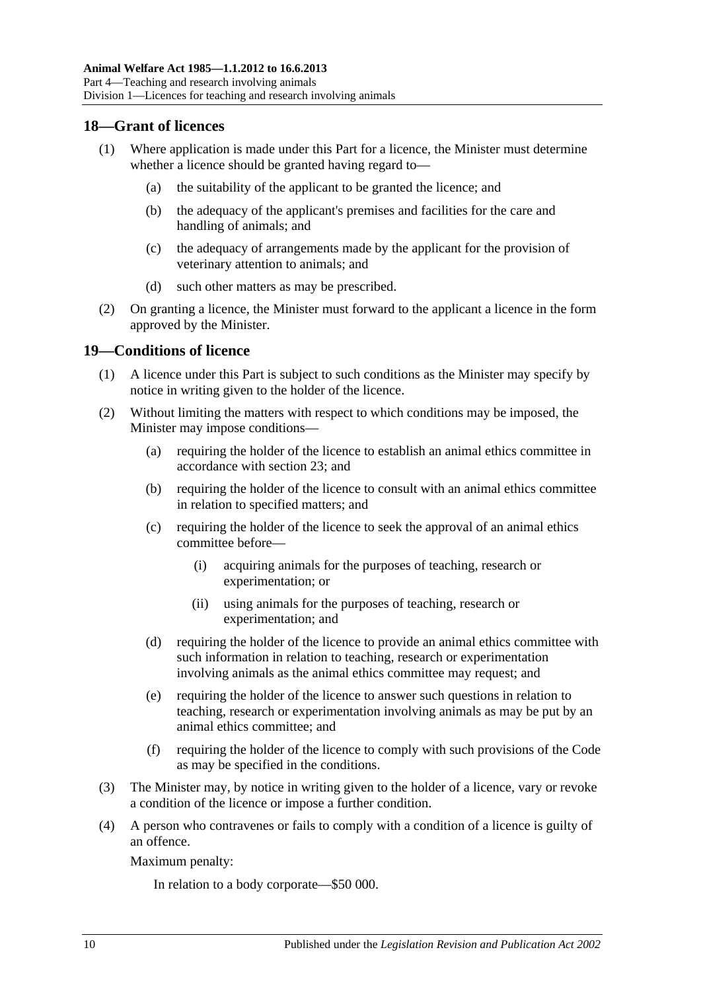## <span id="page-9-0"></span>**18—Grant of licences**

- (1) Where application is made under this Part for a licence, the Minister must determine whether a licence should be granted having regard to—
	- (a) the suitability of the applicant to be granted the licence; and
	- (b) the adequacy of the applicant's premises and facilities for the care and handling of animals; and
	- (c) the adequacy of arrangements made by the applicant for the provision of veterinary attention to animals; and
	- (d) such other matters as may be prescribed.
- (2) On granting a licence, the Minister must forward to the applicant a licence in the form approved by the Minister.

## <span id="page-9-1"></span>**19—Conditions of licence**

- (1) A licence under this Part is subject to such conditions as the Minister may specify by notice in writing given to the holder of the licence.
- (2) Without limiting the matters with respect to which conditions may be imposed, the Minister may impose conditions—
	- (a) requiring the holder of the licence to establish an animal ethics committee in accordance with [section](#page-10-4) 23; and
	- (b) requiring the holder of the licence to consult with an animal ethics committee in relation to specified matters; and
	- (c) requiring the holder of the licence to seek the approval of an animal ethics committee before—
		- (i) acquiring animals for the purposes of teaching, research or experimentation; or
		- (ii) using animals for the purposes of teaching, research or experimentation; and
	- (d) requiring the holder of the licence to provide an animal ethics committee with such information in relation to teaching, research or experimentation involving animals as the animal ethics committee may request; and
	- (e) requiring the holder of the licence to answer such questions in relation to teaching, research or experimentation involving animals as may be put by an animal ethics committee; and
	- (f) requiring the holder of the licence to comply with such provisions of the Code as may be specified in the conditions.
- (3) The Minister may, by notice in writing given to the holder of a licence, vary or revoke a condition of the licence or impose a further condition.
- (4) A person who contravenes or fails to comply with a condition of a licence is guilty of an offence.

Maximum penalty:

In relation to a body corporate—\$50 000.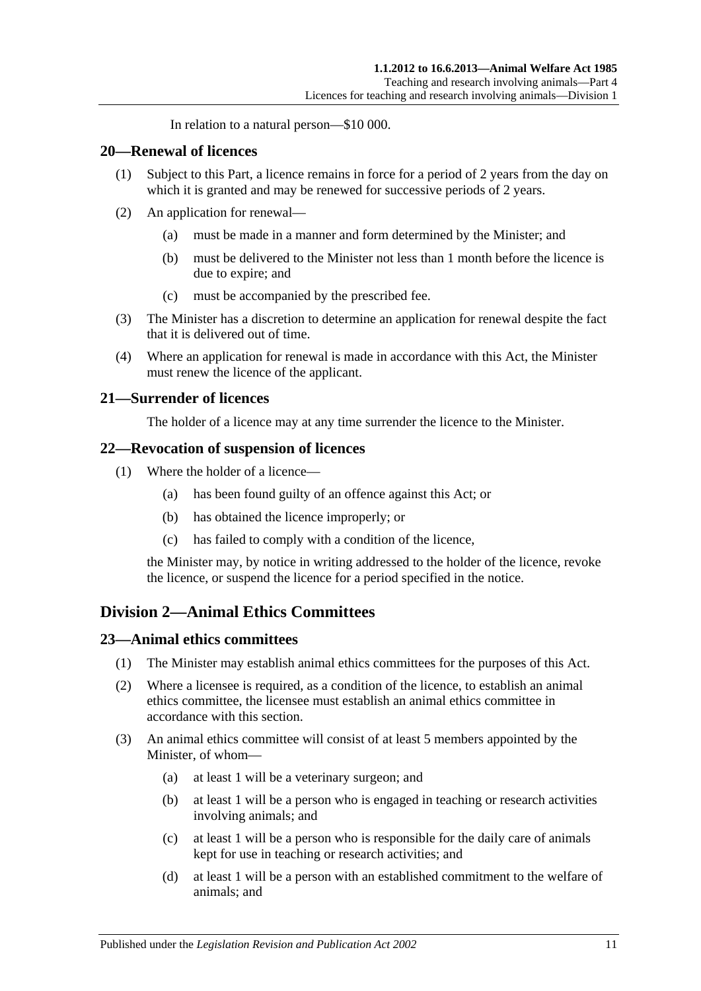In relation to a natural person—\$10 000.

## <span id="page-10-0"></span>**20—Renewal of licences**

- (1) Subject to this Part, a licence remains in force for a period of 2 years from the day on which it is granted and may be renewed for successive periods of 2 years.
- (2) An application for renewal—
	- (a) must be made in a manner and form determined by the Minister; and
	- (b) must be delivered to the Minister not less than 1 month before the licence is due to expire; and
	- (c) must be accompanied by the prescribed fee.
- (3) The Minister has a discretion to determine an application for renewal despite the fact that it is delivered out of time.
- (4) Where an application for renewal is made in accordance with this Act, the Minister must renew the licence of the applicant.

## <span id="page-10-1"></span>**21—Surrender of licences**

The holder of a licence may at any time surrender the licence to the Minister.

## <span id="page-10-2"></span>**22—Revocation of suspension of licences**

- (1) Where the holder of a licence—
	- (a) has been found guilty of an offence against this Act; or
	- (b) has obtained the licence improperly; or
	- (c) has failed to comply with a condition of the licence,

the Minister may, by notice in writing addressed to the holder of the licence, revoke the licence, or suspend the licence for a period specified in the notice.

## <span id="page-10-3"></span>**Division 2—Animal Ethics Committees**

#### <span id="page-10-4"></span>**23—Animal ethics committees**

- (1) The Minister may establish animal ethics committees for the purposes of this Act.
- (2) Where a licensee is required, as a condition of the licence, to establish an animal ethics committee, the licensee must establish an animal ethics committee in accordance with this section.
- <span id="page-10-5"></span>(3) An animal ethics committee will consist of at least 5 members appointed by the Minister, of whom—
	- (a) at least 1 will be a veterinary surgeon; and
	- (b) at least 1 will be a person who is engaged in teaching or research activities involving animals; and
	- (c) at least 1 will be a person who is responsible for the daily care of animals kept for use in teaching or research activities; and
	- (d) at least 1 will be a person with an established commitment to the welfare of animals; and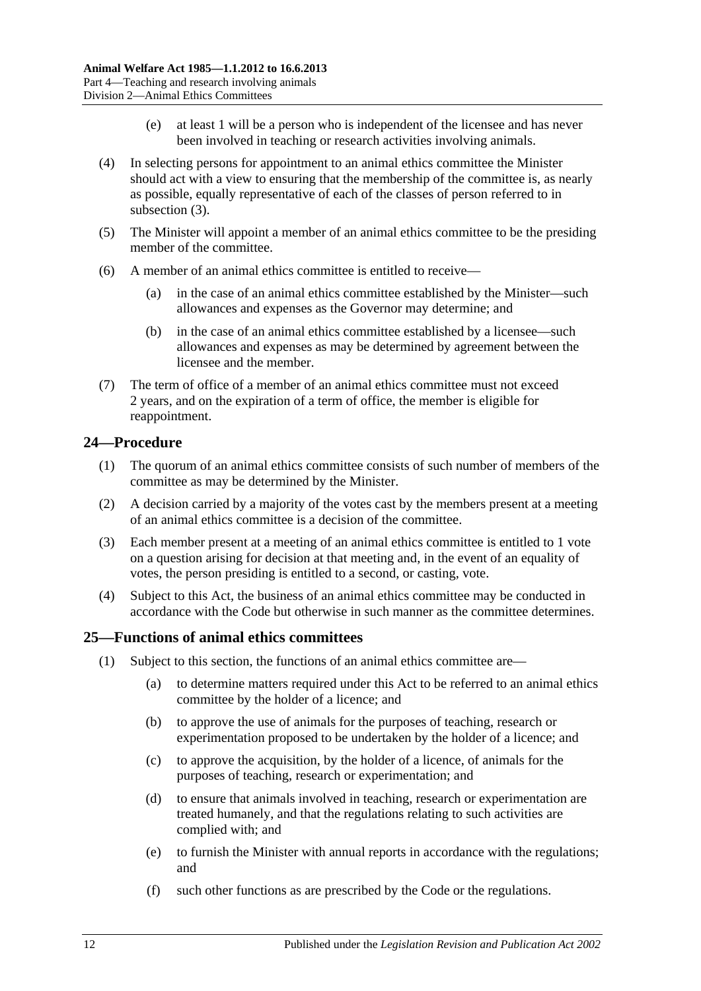- (e) at least 1 will be a person who is independent of the licensee and has never been involved in teaching or research activities involving animals.
- (4) In selecting persons for appointment to an animal ethics committee the Minister should act with a view to ensuring that the membership of the committee is, as nearly as possible, equally representative of each of the classes of person referred to in [subsection](#page-10-5) (3).
- (5) The Minister will appoint a member of an animal ethics committee to be the presiding member of the committee.
- (6) A member of an animal ethics committee is entitled to receive—
	- (a) in the case of an animal ethics committee established by the Minister—such allowances and expenses as the Governor may determine; and
	- (b) in the case of an animal ethics committee established by a licensee—such allowances and expenses as may be determined by agreement between the licensee and the member.
- (7) The term of office of a member of an animal ethics committee must not exceed 2 years, and on the expiration of a term of office, the member is eligible for reappointment.

## <span id="page-11-0"></span>**24—Procedure**

- (1) The quorum of an animal ethics committee consists of such number of members of the committee as may be determined by the Minister.
- (2) A decision carried by a majority of the votes cast by the members present at a meeting of an animal ethics committee is a decision of the committee.
- (3) Each member present at a meeting of an animal ethics committee is entitled to 1 vote on a question arising for decision at that meeting and, in the event of an equality of votes, the person presiding is entitled to a second, or casting, vote.
- (4) Subject to this Act, the business of an animal ethics committee may be conducted in accordance with the Code but otherwise in such manner as the committee determines.

## <span id="page-11-1"></span>**25—Functions of animal ethics committees**

- (1) Subject to this section, the functions of an animal ethics committee are—
	- (a) to determine matters required under this Act to be referred to an animal ethics committee by the holder of a licence; and
	- (b) to approve the use of animals for the purposes of teaching, research or experimentation proposed to be undertaken by the holder of a licence; and
	- (c) to approve the acquisition, by the holder of a licence, of animals for the purposes of teaching, research or experimentation; and
	- (d) to ensure that animals involved in teaching, research or experimentation are treated humanely, and that the regulations relating to such activities are complied with; and
	- (e) to furnish the Minister with annual reports in accordance with the regulations; and
	- (f) such other functions as are prescribed by the Code or the regulations.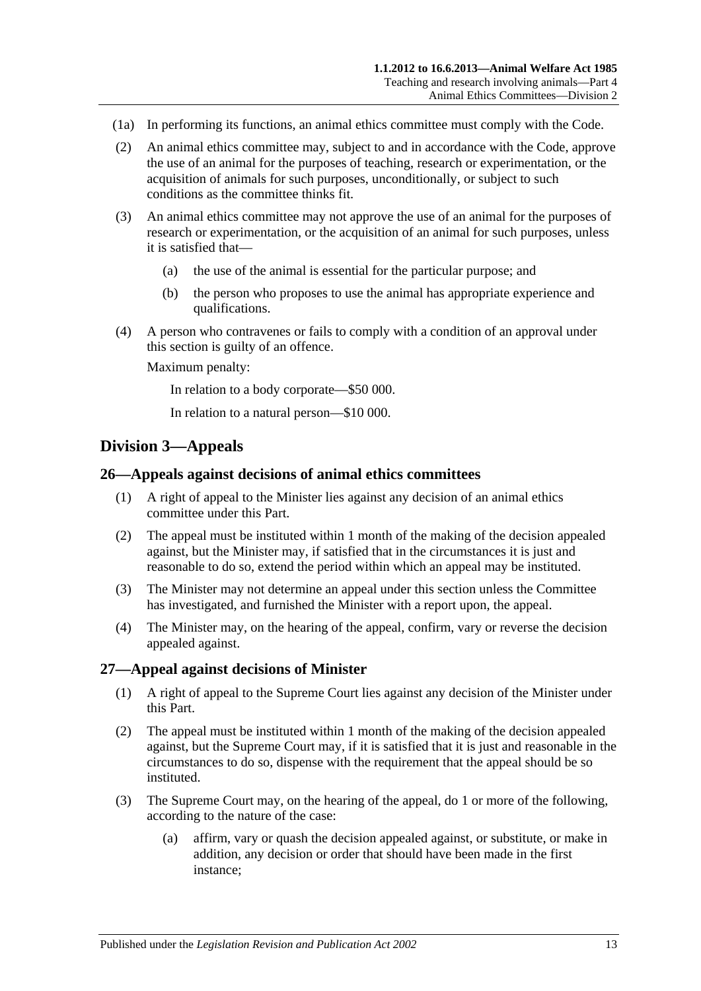- (1a) In performing its functions, an animal ethics committee must comply with the Code.
- (2) An animal ethics committee may, subject to and in accordance with the Code, approve the use of an animal for the purposes of teaching, research or experimentation, or the acquisition of animals for such purposes, unconditionally, or subject to such conditions as the committee thinks fit.
- (3) An animal ethics committee may not approve the use of an animal for the purposes of research or experimentation, or the acquisition of an animal for such purposes, unless it is satisfied that—
	- (a) the use of the animal is essential for the particular purpose; and
	- (b) the person who proposes to use the animal has appropriate experience and qualifications.
- (4) A person who contravenes or fails to comply with a condition of an approval under this section is guilty of an offence.

Maximum penalty:

In relation to a body corporate—\$50 000.

In relation to a natural person—\$10 000.

## <span id="page-12-0"></span>**Division 3—Appeals**

#### <span id="page-12-1"></span>**26—Appeals against decisions of animal ethics committees**

- (1) A right of appeal to the Minister lies against any decision of an animal ethics committee under this Part.
- (2) The appeal must be instituted within 1 month of the making of the decision appealed against, but the Minister may, if satisfied that in the circumstances it is just and reasonable to do so, extend the period within which an appeal may be instituted.
- (3) The Minister may not determine an appeal under this section unless the Committee has investigated, and furnished the Minister with a report upon, the appeal.
- (4) The Minister may, on the hearing of the appeal, confirm, vary or reverse the decision appealed against.

#### <span id="page-12-2"></span>**27—Appeal against decisions of Minister**

- (1) A right of appeal to the Supreme Court lies against any decision of the Minister under this Part.
- (2) The appeal must be instituted within 1 month of the making of the decision appealed against, but the Supreme Court may, if it is satisfied that it is just and reasonable in the circumstances to do so, dispense with the requirement that the appeal should be so instituted.
- (3) The Supreme Court may, on the hearing of the appeal, do 1 or more of the following, according to the nature of the case:
	- (a) affirm, vary or quash the decision appealed against, or substitute, or make in addition, any decision or order that should have been made in the first instance;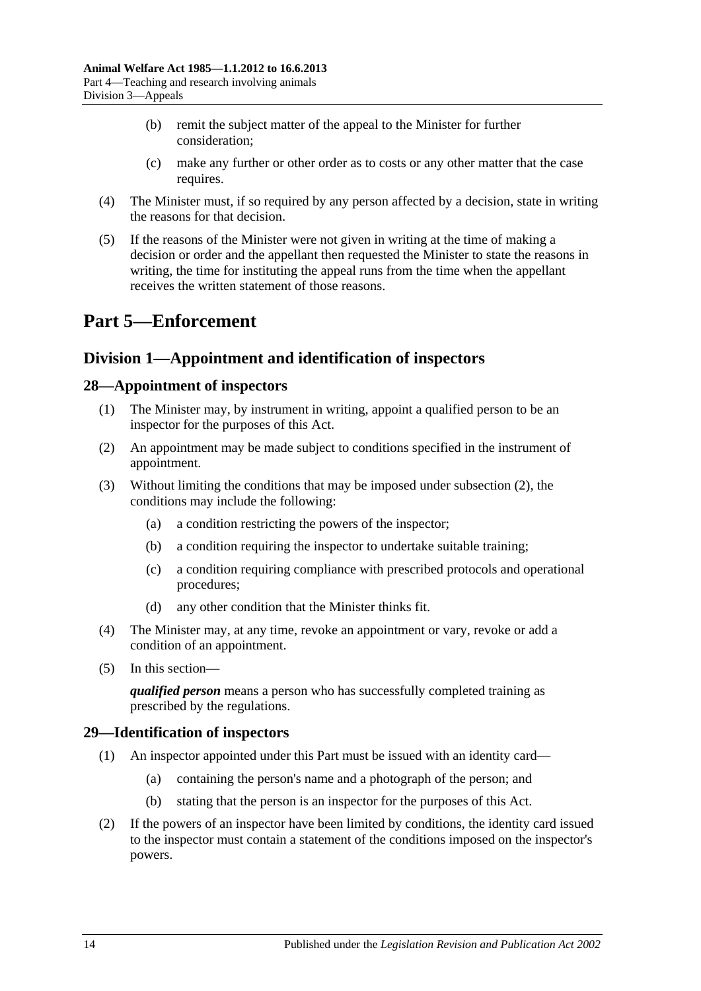- (b) remit the subject matter of the appeal to the Minister for further consideration;
- (c) make any further or other order as to costs or any other matter that the case requires.
- (4) The Minister must, if so required by any person affected by a decision, state in writing the reasons for that decision.
- (5) If the reasons of the Minister were not given in writing at the time of making a decision or order and the appellant then requested the Minister to state the reasons in writing, the time for instituting the appeal runs from the time when the appellant receives the written statement of those reasons.

# <span id="page-13-0"></span>**Part 5—Enforcement**

## <span id="page-13-1"></span>**Division 1—Appointment and identification of inspectors**

## <span id="page-13-2"></span>**28—Appointment of inspectors**

- (1) The Minister may, by instrument in writing, appoint a qualified person to be an inspector for the purposes of this Act.
- <span id="page-13-4"></span>(2) An appointment may be made subject to conditions specified in the instrument of appointment.
- (3) Without limiting the conditions that may be imposed under [subsection](#page-13-4) (2), the conditions may include the following:
	- (a) a condition restricting the powers of the inspector;
	- (b) a condition requiring the inspector to undertake suitable training;
	- (c) a condition requiring compliance with prescribed protocols and operational procedures;
	- (d) any other condition that the Minister thinks fit.
- (4) The Minister may, at any time, revoke an appointment or vary, revoke or add a condition of an appointment.
- (5) In this section—

*qualified person* means a person who has successfully completed training as prescribed by the regulations.

## <span id="page-13-3"></span>**29—Identification of inspectors**

- (1) An inspector appointed under this Part must be issued with an identity card—
	- (a) containing the person's name and a photograph of the person; and
	- (b) stating that the person is an inspector for the purposes of this Act.
- (2) If the powers of an inspector have been limited by conditions, the identity card issued to the inspector must contain a statement of the conditions imposed on the inspector's powers.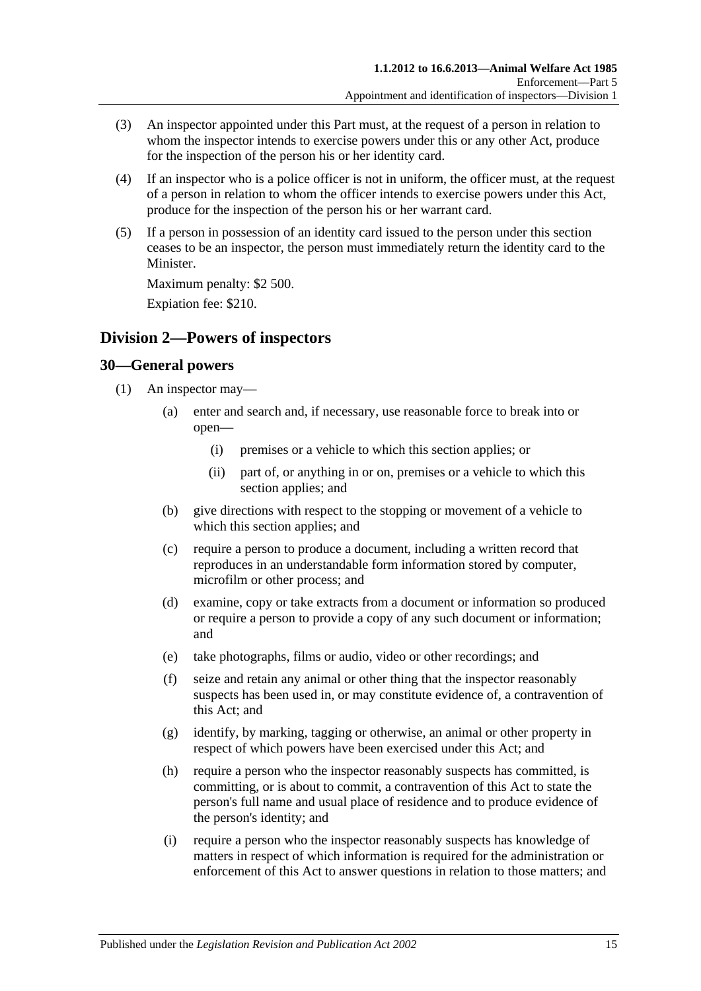- (3) An inspector appointed under this Part must, at the request of a person in relation to whom the inspector intends to exercise powers under this or any other Act, produce for the inspection of the person his or her identity card.
- (4) If an inspector who is a police officer is not in uniform, the officer must, at the request of a person in relation to whom the officer intends to exercise powers under this Act, produce for the inspection of the person his or her warrant card.
- (5) If a person in possession of an identity card issued to the person under this section ceases to be an inspector, the person must immediately return the identity card to the Minister.

Maximum penalty: \$2 500.

Expiation fee: \$210.

## <span id="page-14-0"></span>**Division 2—Powers of inspectors**

## <span id="page-14-2"></span><span id="page-14-1"></span>**30—General powers**

- <span id="page-14-3"></span>(1) An inspector may—
	- (a) enter and search and, if necessary, use reasonable force to break into or open—
		- (i) premises or a vehicle to which this section applies; or
		- (ii) part of, or anything in or on, premises or a vehicle to which this section applies; and
	- (b) give directions with respect to the stopping or movement of a vehicle to which this section applies; and
	- (c) require a person to produce a document, including a written record that reproduces in an understandable form information stored by computer, microfilm or other process; and
	- (d) examine, copy or take extracts from a document or information so produced or require a person to provide a copy of any such document or information; and
	- (e) take photographs, films or audio, video or other recordings; and
	- (f) seize and retain any animal or other thing that the inspector reasonably suspects has been used in, or may constitute evidence of, a contravention of this Act; and
	- (g) identify, by marking, tagging or otherwise, an animal or other property in respect of which powers have been exercised under this Act; and
	- (h) require a person who the inspector reasonably suspects has committed, is committing, or is about to commit, a contravention of this Act to state the person's full name and usual place of residence and to produce evidence of the person's identity; and
	- (i) require a person who the inspector reasonably suspects has knowledge of matters in respect of which information is required for the administration or enforcement of this Act to answer questions in relation to those matters; and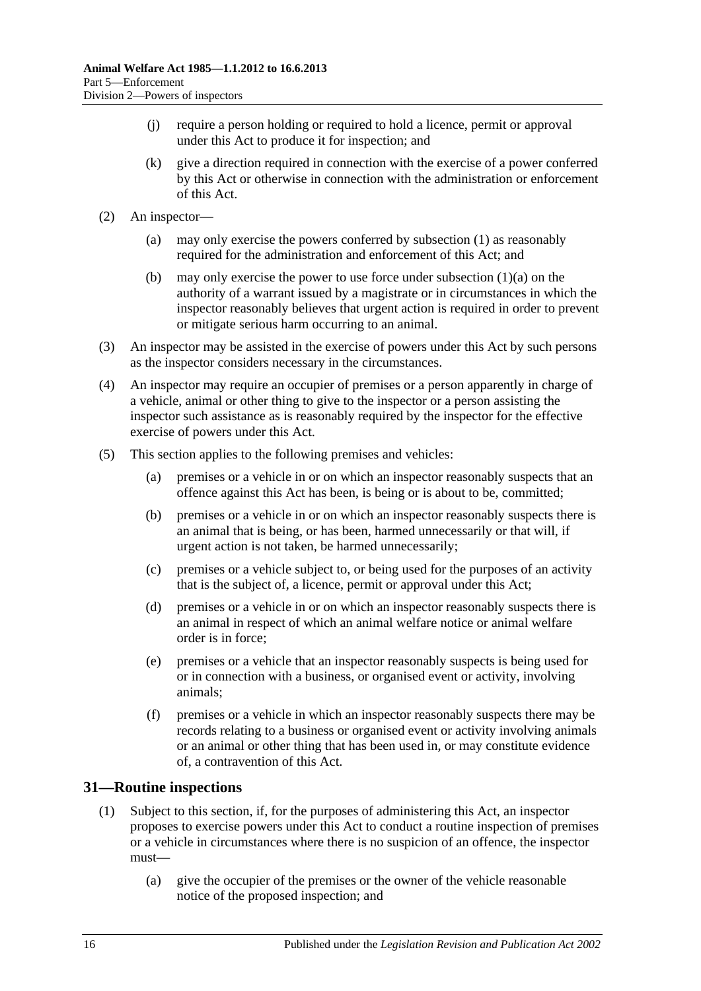- (j) require a person holding or required to hold a licence, permit or approval under this Act to produce it for inspection; and
- (k) give a direction required in connection with the exercise of a power conferred by this Act or otherwise in connection with the administration or enforcement of this Act.
- (2) An inspector—
	- (a) may only exercise the powers conferred by [subsection](#page-14-2) (1) as reasonably required for the administration and enforcement of this Act; and
	- (b) may only exercise the power to use force under [subsection](#page-14-3)  $(1)(a)$  on the authority of a warrant issued by a magistrate or in circumstances in which the inspector reasonably believes that urgent action is required in order to prevent or mitigate serious harm occurring to an animal.
- (3) An inspector may be assisted in the exercise of powers under this Act by such persons as the inspector considers necessary in the circumstances.
- (4) An inspector may require an occupier of premises or a person apparently in charge of a vehicle, animal or other thing to give to the inspector or a person assisting the inspector such assistance as is reasonably required by the inspector for the effective exercise of powers under this Act.
- (5) This section applies to the following premises and vehicles:
	- (a) premises or a vehicle in or on which an inspector reasonably suspects that an offence against this Act has been, is being or is about to be, committed;
	- (b) premises or a vehicle in or on which an inspector reasonably suspects there is an animal that is being, or has been, harmed unnecessarily or that will, if urgent action is not taken, be harmed unnecessarily;
	- (c) premises or a vehicle subject to, or being used for the purposes of an activity that is the subject of, a licence, permit or approval under this Act;
	- (d) premises or a vehicle in or on which an inspector reasonably suspects there is an animal in respect of which an animal welfare notice or animal welfare order is in force;
	- (e) premises or a vehicle that an inspector reasonably suspects is being used for or in connection with a business, or organised event or activity, involving animals;
	- (f) premises or a vehicle in which an inspector reasonably suspects there may be records relating to a business or organised event or activity involving animals or an animal or other thing that has been used in, or may constitute evidence of, a contravention of this Act.

## <span id="page-15-0"></span>**31—Routine inspections**

- (1) Subject to this section, if, for the purposes of administering this Act, an inspector proposes to exercise powers under this Act to conduct a routine inspection of premises or a vehicle in circumstances where there is no suspicion of an offence, the inspector must—
	- (a) give the occupier of the premises or the owner of the vehicle reasonable notice of the proposed inspection; and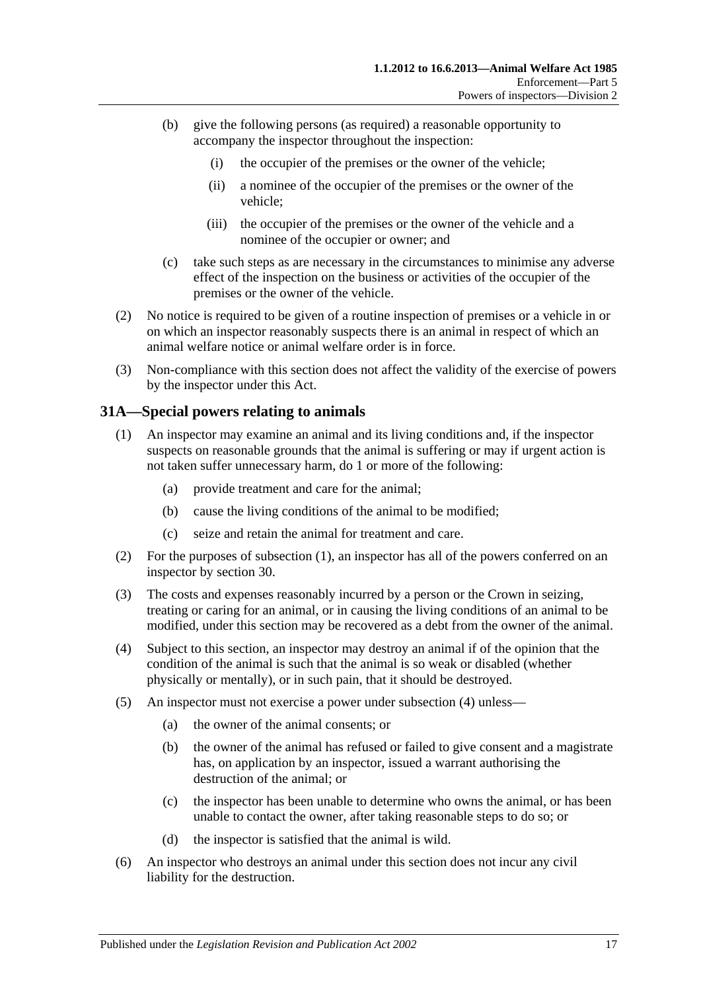- (b) give the following persons (as required) a reasonable opportunity to accompany the inspector throughout the inspection:
	- (i) the occupier of the premises or the owner of the vehicle;
	- (ii) a nominee of the occupier of the premises or the owner of the vehicle;
	- (iii) the occupier of the premises or the owner of the vehicle and a nominee of the occupier or owner; and
- (c) take such steps as are necessary in the circumstances to minimise any adverse effect of the inspection on the business or activities of the occupier of the premises or the owner of the vehicle.
- (2) No notice is required to be given of a routine inspection of premises or a vehicle in or on which an inspector reasonably suspects there is an animal in respect of which an animal welfare notice or animal welfare order is in force.
- (3) Non-compliance with this section does not affect the validity of the exercise of powers by the inspector under this Act.

## <span id="page-16-1"></span><span id="page-16-0"></span>**31A—Special powers relating to animals**

- (1) An inspector may examine an animal and its living conditions and, if the inspector suspects on reasonable grounds that the animal is suffering or may if urgent action is not taken suffer unnecessary harm, do 1 or more of the following:
	- (a) provide treatment and care for the animal;
	- (b) cause the living conditions of the animal to be modified;
	- (c) seize and retain the animal for treatment and care.
- (2) For the purposes of [subsection](#page-16-1) (1), an inspector has all of the powers conferred on an inspector by [section](#page-14-1) 30.
- (3) The costs and expenses reasonably incurred by a person or the Crown in seizing, treating or caring for an animal, or in causing the living conditions of an animal to be modified, under this section may be recovered as a debt from the owner of the animal.
- <span id="page-16-2"></span>(4) Subject to this section, an inspector may destroy an animal if of the opinion that the condition of the animal is such that the animal is so weak or disabled (whether physically or mentally), or in such pain, that it should be destroyed.
- (5) An inspector must not exercise a power under [subsection](#page-16-2) (4) unless—
	- (a) the owner of the animal consents; or
	- (b) the owner of the animal has refused or failed to give consent and a magistrate has, on application by an inspector, issued a warrant authorising the destruction of the animal; or
	- (c) the inspector has been unable to determine who owns the animal, or has been unable to contact the owner, after taking reasonable steps to do so; or
	- (d) the inspector is satisfied that the animal is wild.
- (6) An inspector who destroys an animal under this section does not incur any civil liability for the destruction.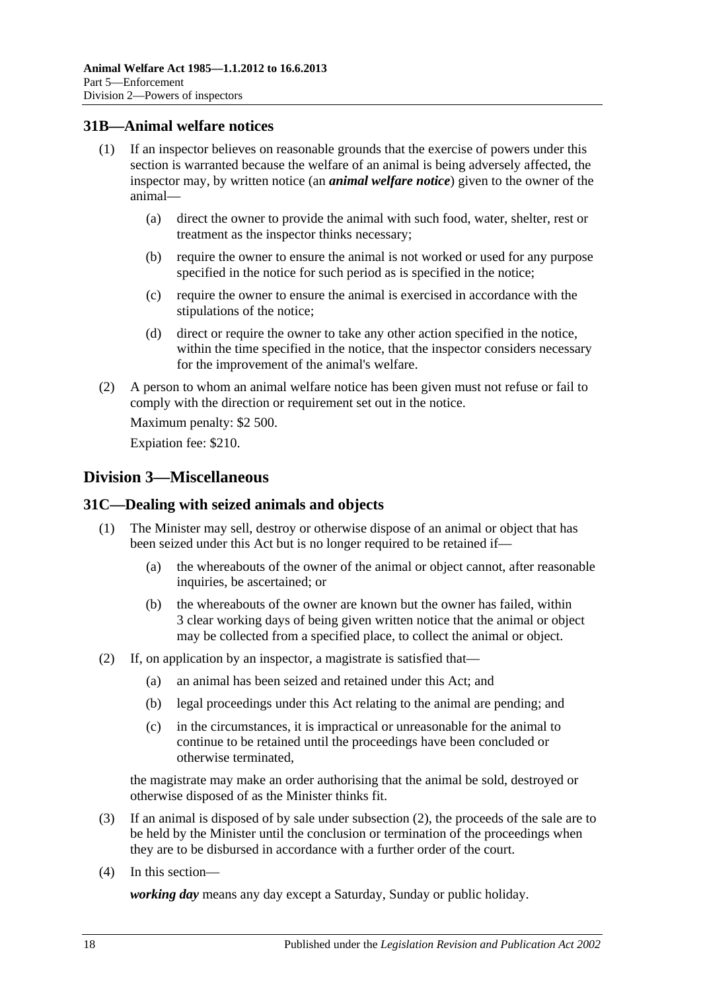## <span id="page-17-0"></span>**31B—Animal welfare notices**

- (1) If an inspector believes on reasonable grounds that the exercise of powers under this section is warranted because the welfare of an animal is being adversely affected, the inspector may, by written notice (an *animal welfare notice*) given to the owner of the animal—
	- (a) direct the owner to provide the animal with such food, water, shelter, rest or treatment as the inspector thinks necessary;
	- (b) require the owner to ensure the animal is not worked or used for any purpose specified in the notice for such period as is specified in the notice;
	- (c) require the owner to ensure the animal is exercised in accordance with the stipulations of the notice;
	- (d) direct or require the owner to take any other action specified in the notice, within the time specified in the notice, that the inspector considers necessary for the improvement of the animal's welfare.
- (2) A person to whom an animal welfare notice has been given must not refuse or fail to comply with the direction or requirement set out in the notice.

Maximum penalty: \$2 500.

Expiation fee: \$210.

## <span id="page-17-1"></span>**Division 3—Miscellaneous**

#### <span id="page-17-2"></span>**31C—Dealing with seized animals and objects**

- (1) The Minister may sell, destroy or otherwise dispose of an animal or object that has been seized under this Act but is no longer required to be retained if—
	- (a) the whereabouts of the owner of the animal or object cannot, after reasonable inquiries, be ascertained; or
	- (b) the whereabouts of the owner are known but the owner has failed, within 3 clear working days of being given written notice that the animal or object may be collected from a specified place, to collect the animal or object.
- <span id="page-17-3"></span>(2) If, on application by an inspector, a magistrate is satisfied that—
	- (a) an animal has been seized and retained under this Act; and
	- (b) legal proceedings under this Act relating to the animal are pending; and
	- (c) in the circumstances, it is impractical or unreasonable for the animal to continue to be retained until the proceedings have been concluded or otherwise terminated,

the magistrate may make an order authorising that the animal be sold, destroyed or otherwise disposed of as the Minister thinks fit.

- (3) If an animal is disposed of by sale under [subsection](#page-17-3) (2), the proceeds of the sale are to be held by the Minister until the conclusion or termination of the proceedings when they are to be disbursed in accordance with a further order of the court.
- (4) In this section—

*working day* means any day except a Saturday, Sunday or public holiday.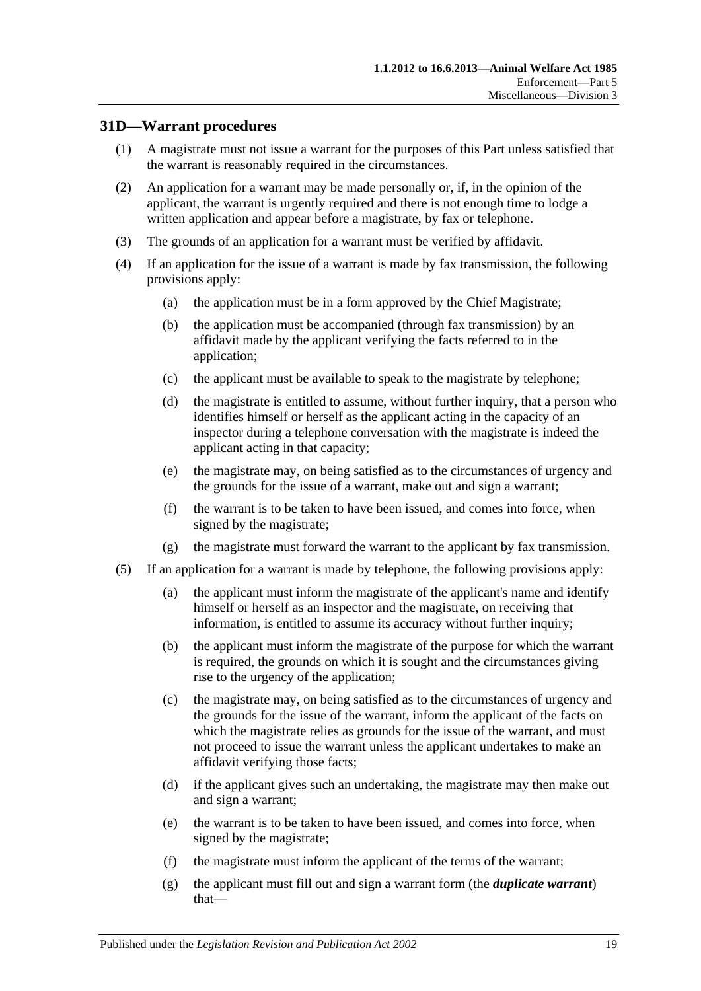## <span id="page-18-0"></span>**31D—Warrant procedures**

- (1) A magistrate must not issue a warrant for the purposes of this Part unless satisfied that the warrant is reasonably required in the circumstances.
- (2) An application for a warrant may be made personally or, if, in the opinion of the applicant, the warrant is urgently required and there is not enough time to lodge a written application and appear before a magistrate, by fax or telephone.
- (3) The grounds of an application for a warrant must be verified by affidavit.
- (4) If an application for the issue of a warrant is made by fax transmission, the following provisions apply:
	- (a) the application must be in a form approved by the Chief Magistrate;
	- (b) the application must be accompanied (through fax transmission) by an affidavit made by the applicant verifying the facts referred to in the application;
	- (c) the applicant must be available to speak to the magistrate by telephone;
	- (d) the magistrate is entitled to assume, without further inquiry, that a person who identifies himself or herself as the applicant acting in the capacity of an inspector during a telephone conversation with the magistrate is indeed the applicant acting in that capacity;
	- (e) the magistrate may, on being satisfied as to the circumstances of urgency and the grounds for the issue of a warrant, make out and sign a warrant;
	- (f) the warrant is to be taken to have been issued, and comes into force, when signed by the magistrate;
	- (g) the magistrate must forward the warrant to the applicant by fax transmission.
- <span id="page-18-1"></span>(5) If an application for a warrant is made by telephone, the following provisions apply:
	- (a) the applicant must inform the magistrate of the applicant's name and identify himself or herself as an inspector and the magistrate, on receiving that information, is entitled to assume its accuracy without further inquiry;
	- (b) the applicant must inform the magistrate of the purpose for which the warrant is required, the grounds on which it is sought and the circumstances giving rise to the urgency of the application;
	- (c) the magistrate may, on being satisfied as to the circumstances of urgency and the grounds for the issue of the warrant, inform the applicant of the facts on which the magistrate relies as grounds for the issue of the warrant, and must not proceed to issue the warrant unless the applicant undertakes to make an affidavit verifying those facts;
	- (d) if the applicant gives such an undertaking, the magistrate may then make out and sign a warrant;
	- (e) the warrant is to be taken to have been issued, and comes into force, when signed by the magistrate;
	- (f) the magistrate must inform the applicant of the terms of the warrant;
	- (g) the applicant must fill out and sign a warrant form (the *duplicate warrant*) that—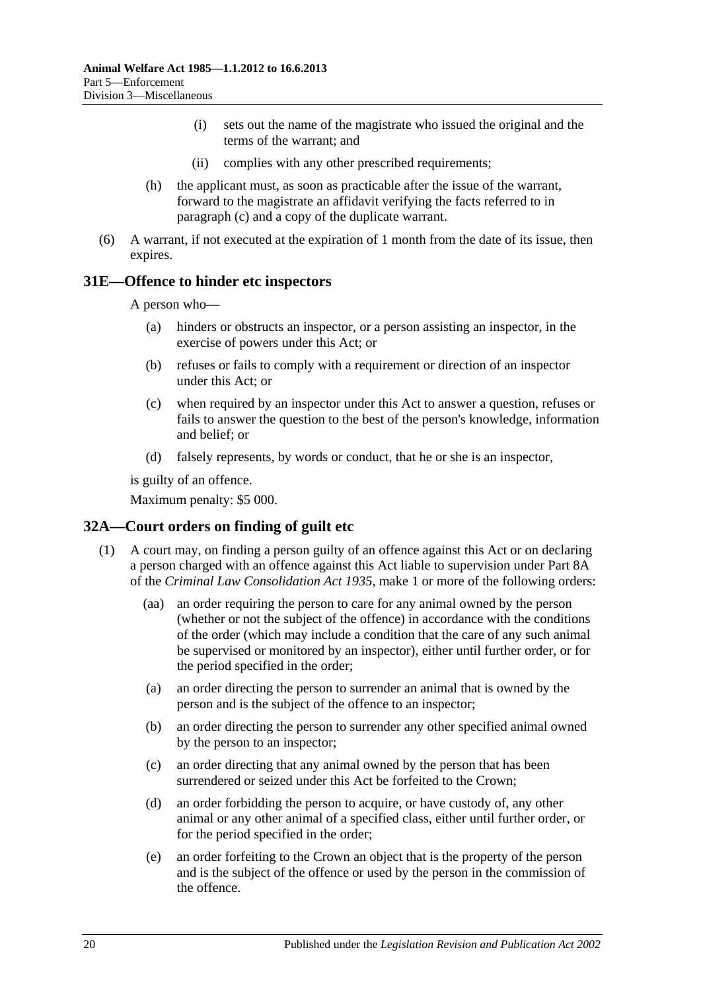- (i) sets out the name of the magistrate who issued the original and the terms of the warrant; and
- (ii) complies with any other prescribed requirements;
- (h) the applicant must, as soon as practicable after the issue of the warrant, forward to the magistrate an affidavit verifying the facts referred to in [paragraph](#page-18-1) (c) and a copy of the duplicate warrant.
- (6) A warrant, if not executed at the expiration of 1 month from the date of its issue, then expires.

## <span id="page-19-0"></span>**31E—Offence to hinder etc inspectors**

A person who—

- (a) hinders or obstructs an inspector, or a person assisting an inspector, in the exercise of powers under this Act; or
- (b) refuses or fails to comply with a requirement or direction of an inspector under this Act; or
- (c) when required by an inspector under this Act to answer a question, refuses or fails to answer the question to the best of the person's knowledge, information and belief; or
- (d) falsely represents, by words or conduct, that he or she is an inspector,

is guilty of an offence.

Maximum penalty: \$5 000.

#### <span id="page-19-2"></span><span id="page-19-1"></span>**32A—Court orders on finding of guilt etc**

- (1) A court may, on finding a person guilty of an offence against this Act or on declaring a person charged with an offence against this Act liable to supervision under Part 8A of the *[Criminal Law Consolidation Act](http://www.legislation.sa.gov.au/index.aspx?action=legref&type=act&legtitle=Criminal%20Law%20Consolidation%20Act%201935) 1935*, make 1 or more of the following orders:
	- (aa) an order requiring the person to care for any animal owned by the person (whether or not the subject of the offence) in accordance with the conditions of the order (which may include a condition that the care of any such animal be supervised or monitored by an inspector), either until further order, or for the period specified in the order;
	- (a) an order directing the person to surrender an animal that is owned by the person and is the subject of the offence to an inspector;
	- (b) an order directing the person to surrender any other specified animal owned by the person to an inspector;
	- (c) an order directing that any animal owned by the person that has been surrendered or seized under this Act be forfeited to the Crown;
	- (d) an order forbidding the person to acquire, or have custody of, any other animal or any other animal of a specified class, either until further order, or for the period specified in the order;
	- (e) an order forfeiting to the Crown an object that is the property of the person and is the subject of the offence or used by the person in the commission of the offence.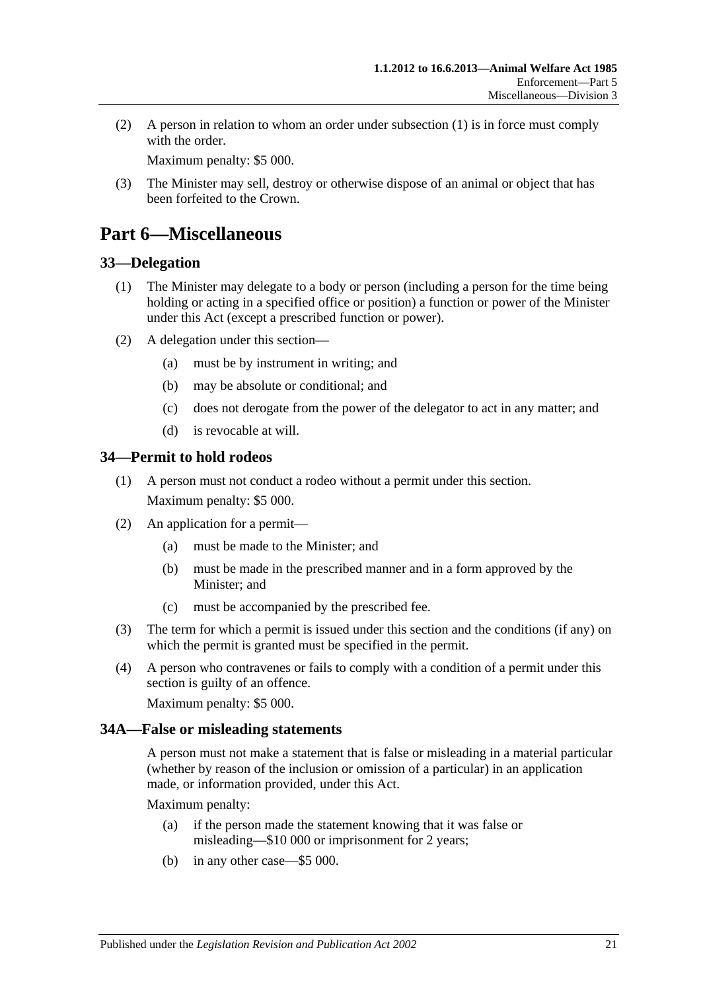(2) A person in relation to whom an order under [subsection](#page-19-2) (1) is in force must comply with the order

Maximum penalty: \$5 000.

(3) The Minister may sell, destroy or otherwise dispose of an animal or object that has been forfeited to the Crown.

# <span id="page-20-0"></span>**Part 6—Miscellaneous**

## <span id="page-20-1"></span>**33—Delegation**

- (1) The Minister may delegate to a body or person (including a person for the time being holding or acting in a specified office or position) a function or power of the Minister under this Act (except a prescribed function or power).
- (2) A delegation under this section—
	- (a) must be by instrument in writing; and
	- (b) may be absolute or conditional; and
	- (c) does not derogate from the power of the delegator to act in any matter; and
	- (d) is revocable at will.

## <span id="page-20-2"></span>**34—Permit to hold rodeos**

- (1) A person must not conduct a rodeo without a permit under this section. Maximum penalty: \$5 000.
- (2) An application for a permit—
	- (a) must be made to the Minister; and
	- (b) must be made in the prescribed manner and in a form approved by the Minister; and
	- (c) must be accompanied by the prescribed fee.
- (3) The term for which a permit is issued under this section and the conditions (if any) on which the permit is granted must be specified in the permit.
- (4) A person who contravenes or fails to comply with a condition of a permit under this section is guilty of an offence.

Maximum penalty: \$5 000.

## <span id="page-20-3"></span>**34A—False or misleading statements**

A person must not make a statement that is false or misleading in a material particular (whether by reason of the inclusion or omission of a particular) in an application made, or information provided, under this Act.

Maximum penalty:

- (a) if the person made the statement knowing that it was false or misleading—\$10 000 or imprisonment for 2 years;
- (b) in any other case—\$5 000.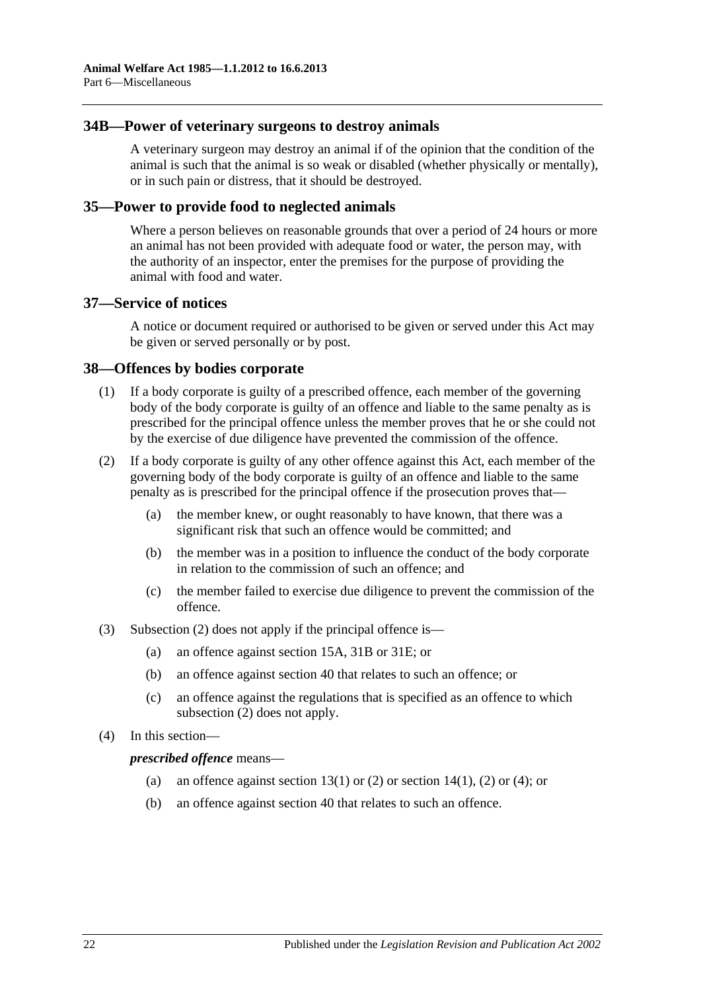## <span id="page-21-0"></span>**34B—Power of veterinary surgeons to destroy animals**

A veterinary surgeon may destroy an animal if of the opinion that the condition of the animal is such that the animal is so weak or disabled (whether physically or mentally), or in such pain or distress, that it should be destroyed.

#### <span id="page-21-1"></span>**35—Power to provide food to neglected animals**

Where a person believes on reasonable grounds that over a period of 24 hours or more an animal has not been provided with adequate food or water, the person may, with the authority of an inspector, enter the premises for the purpose of providing the animal with food and water.

## <span id="page-21-2"></span>**37—Service of notices**

A notice or document required or authorised to be given or served under this Act may be given or served personally or by post.

#### <span id="page-21-3"></span>**38—Offences by bodies corporate**

- (1) If a body corporate is guilty of a prescribed offence, each member of the governing body of the body corporate is guilty of an offence and liable to the same penalty as is prescribed for the principal offence unless the member proves that he or she could not by the exercise of due diligence have prevented the commission of the offence.
- <span id="page-21-4"></span>(2) If a body corporate is guilty of any other offence against this Act, each member of the governing body of the body corporate is guilty of an offence and liable to the same penalty as is prescribed for the principal offence if the prosecution proves that—
	- (a) the member knew, or ought reasonably to have known, that there was a significant risk that such an offence would be committed; and
	- (b) the member was in a position to influence the conduct of the body corporate in relation to the commission of such an offence; and
	- (c) the member failed to exercise due diligence to prevent the commission of the offence.
- (3) [Subsection](#page-21-4) (2) does not apply if the principal offence is—
	- (a) an offence against [section](#page-8-1) 15A, [31B](#page-17-0) or [31E;](#page-19-0) or
	- (b) an offence against [section](#page-22-1) 40 that relates to such an offence; or
	- (c) an offence against the regulations that is specified as an offence to which [subsection](#page-21-4) (2) does not apply.
- (4) In this section—

#### *prescribed offence* means—

- (a) an offence against [section](#page-7-1) 13(1) or [\(2\)](#page-7-2) or section 14(1), (2) or [\(4\);](#page-7-3) or
- (b) an offence against [section](#page-22-1) 40 that relates to such an offence.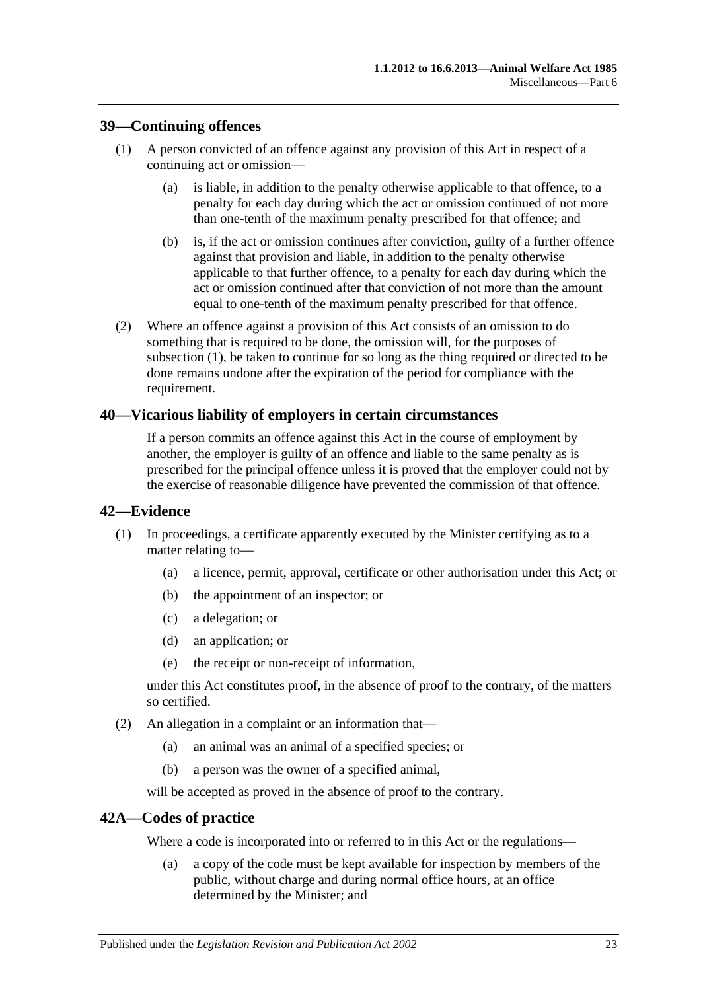## <span id="page-22-4"></span><span id="page-22-0"></span>**39—Continuing offences**

- (1) A person convicted of an offence against any provision of this Act in respect of a continuing act or omission—
	- (a) is liable, in addition to the penalty otherwise applicable to that offence, to a penalty for each day during which the act or omission continued of not more than one-tenth of the maximum penalty prescribed for that offence; and
	- (b) is, if the act or omission continues after conviction, guilty of a further offence against that provision and liable, in addition to the penalty otherwise applicable to that further offence, to a penalty for each day during which the act or omission continued after that conviction of not more than the amount equal to one-tenth of the maximum penalty prescribed for that offence.
- (2) Where an offence against a provision of this Act consists of an omission to do something that is required to be done, the omission will, for the purposes of [subsection](#page-22-4) (1), be taken to continue for so long as the thing required or directed to be done remains undone after the expiration of the period for compliance with the requirement.

## <span id="page-22-1"></span>**40—Vicarious liability of employers in certain circumstances**

If a person commits an offence against this Act in the course of employment by another, the employer is guilty of an offence and liable to the same penalty as is prescribed for the principal offence unless it is proved that the employer could not by the exercise of reasonable diligence have prevented the commission of that offence.

#### <span id="page-22-2"></span>**42—Evidence**

- (1) In proceedings, a certificate apparently executed by the Minister certifying as to a matter relating to—
	- (a) a licence, permit, approval, certificate or other authorisation under this Act; or
	- (b) the appointment of an inspector; or
	- (c) a delegation; or
	- (d) an application; or
	- (e) the receipt or non-receipt of information,

under this Act constitutes proof, in the absence of proof to the contrary, of the matters so certified.

- (2) An allegation in a complaint or an information that—
	- (a) an animal was an animal of a specified species; or
	- (b) a person was the owner of a specified animal,

will be accepted as proved in the absence of proof to the contrary.

#### <span id="page-22-3"></span>**42A—Codes of practice**

Where a code is incorporated into or referred to in this Act or the regulations—

(a) a copy of the code must be kept available for inspection by members of the public, without charge and during normal office hours, at an office determined by the Minister; and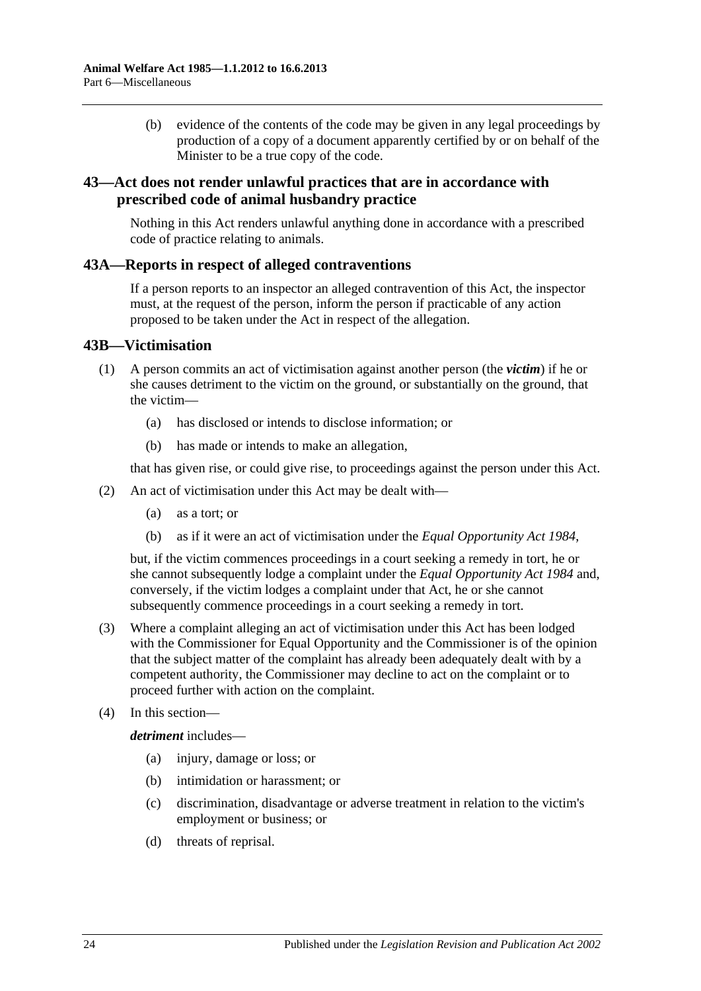(b) evidence of the contents of the code may be given in any legal proceedings by production of a copy of a document apparently certified by or on behalf of the Minister to be a true copy of the code.

## <span id="page-23-0"></span>**43—Act does not render unlawful practices that are in accordance with prescribed code of animal husbandry practice**

Nothing in this Act renders unlawful anything done in accordance with a prescribed code of practice relating to animals.

#### <span id="page-23-1"></span>**43A—Reports in respect of alleged contraventions**

If a person reports to an inspector an alleged contravention of this Act, the inspector must, at the request of the person, inform the person if practicable of any action proposed to be taken under the Act in respect of the allegation.

## <span id="page-23-2"></span>**43B—Victimisation**

- (1) A person commits an act of victimisation against another person (the *victim*) if he or she causes detriment to the victim on the ground, or substantially on the ground, that the victim—
	- (a) has disclosed or intends to disclose information; or
	- (b) has made or intends to make an allegation,

that has given rise, or could give rise, to proceedings against the person under this Act.

- (2) An act of victimisation under this Act may be dealt with—
	- (a) as a tort; or
	- (b) as if it were an act of victimisation under the *[Equal Opportunity Act](http://www.legislation.sa.gov.au/index.aspx?action=legref&type=act&legtitle=Equal%20Opportunity%20Act%201984) 1984*,

but, if the victim commences proceedings in a court seeking a remedy in tort, he or she cannot subsequently lodge a complaint under the *[Equal Opportunity Act](http://www.legislation.sa.gov.au/index.aspx?action=legref&type=act&legtitle=Equal%20Opportunity%20Act%201984) 1984* and, conversely, if the victim lodges a complaint under that Act, he or she cannot subsequently commence proceedings in a court seeking a remedy in tort.

- (3) Where a complaint alleging an act of victimisation under this Act has been lodged with the Commissioner for Equal Opportunity and the Commissioner is of the opinion that the subject matter of the complaint has already been adequately dealt with by a competent authority, the Commissioner may decline to act on the complaint or to proceed further with action on the complaint.
- (4) In this section—

*detriment* includes—

- (a) injury, damage or loss; or
- (b) intimidation or harassment; or
- (c) discrimination, disadvantage or adverse treatment in relation to the victim's employment or business; or
- (d) threats of reprisal.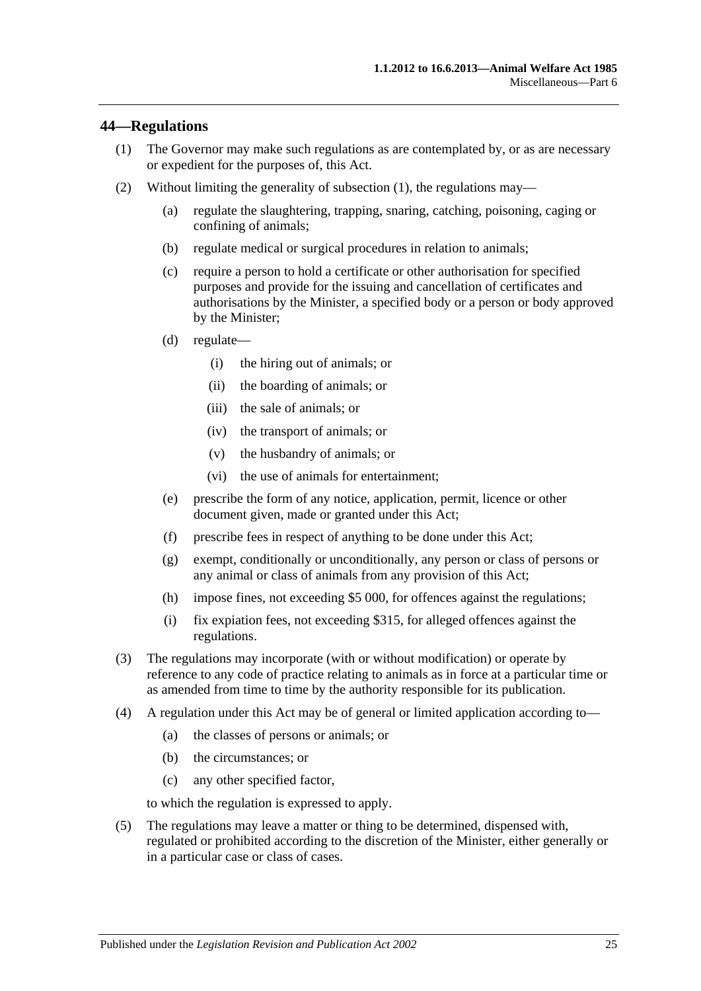## <span id="page-24-1"></span><span id="page-24-0"></span>**44—Regulations**

- (1) The Governor may make such regulations as are contemplated by, or as are necessary or expedient for the purposes of, this Act.
- (2) Without limiting the generality of [subsection](#page-24-1) (1), the regulations may—
	- (a) regulate the slaughtering, trapping, snaring, catching, poisoning, caging or confining of animals;
	- (b) regulate medical or surgical procedures in relation to animals;
	- (c) require a person to hold a certificate or other authorisation for specified purposes and provide for the issuing and cancellation of certificates and authorisations by the Minister, a specified body or a person or body approved by the Minister;
	- (d) regulate—
		- (i) the hiring out of animals; or
		- (ii) the boarding of animals; or
		- (iii) the sale of animals; or
		- (iv) the transport of animals; or
		- (v) the husbandry of animals; or
		- (vi) the use of animals for entertainment;
	- (e) prescribe the form of any notice, application, permit, licence or other document given, made or granted under this Act;
	- (f) prescribe fees in respect of anything to be done under this Act;
	- (g) exempt, conditionally or unconditionally, any person or class of persons or any animal or class of animals from any provision of this Act;
	- (h) impose fines, not exceeding \$5 000, for offences against the regulations;
	- (i) fix expiation fees, not exceeding \$315, for alleged offences against the regulations.
- (3) The regulations may incorporate (with or without modification) or operate by reference to any code of practice relating to animals as in force at a particular time or as amended from time to time by the authority responsible for its publication.
- (4) A regulation under this Act may be of general or limited application according to—
	- (a) the classes of persons or animals; or
	- (b) the circumstances; or
	- (c) any other specified factor,

to which the regulation is expressed to apply.

(5) The regulations may leave a matter or thing to be determined, dispensed with, regulated or prohibited according to the discretion of the Minister, either generally or in a particular case or class of cases.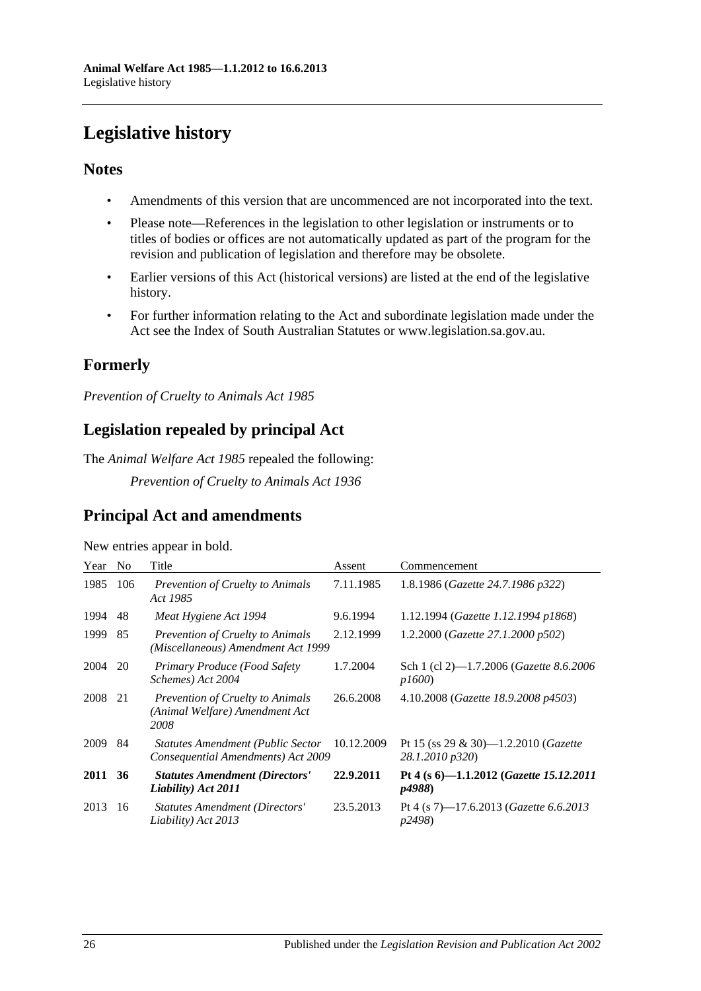# <span id="page-25-0"></span>**Legislative history**

## **Notes**

- Amendments of this version that are uncommenced are not incorporated into the text.
- Please note—References in the legislation to other legislation or instruments or to titles of bodies or offices are not automatically updated as part of the program for the revision and publication of legislation and therefore may be obsolete.
- Earlier versions of this Act (historical versions) are listed at the end of the legislative history.
- For further information relating to the Act and subordinate legislation made under the Act see the Index of South Australian Statutes or www.legislation.sa.gov.au.

# **Formerly**

*Prevention of Cruelty to Animals Act 1985*

# **Legislation repealed by principal Act**

The *Animal Welfare Act 1985* repealed the following:

*Prevention of Cruelty to Animals Act 1936*

# **Principal Act and amendments**

| New entries appear in bold. |  |  |
|-----------------------------|--|--|

| Year | N <sub>0</sub> | Title                                                                             | Assent     | Commencement                                                     |
|------|----------------|-----------------------------------------------------------------------------------|------------|------------------------------------------------------------------|
| 1985 | 106            | <b>Prevention of Cruelty to Animals</b><br>Act 1985                               | 7.11.1985  | 1.8.1986 (Gazette 24.7.1986 p322)                                |
| 1994 | 48             | Meat Hygiene Act 1994                                                             | 9.6.1994   | 1.12.1994 (Gazette 1.12.1994 p1868)                              |
| 1999 | 85             | Prevention of Cruelty to Animals<br>(Miscellaneous) Amendment Act 1999            | 2.12.1999  | 1.2.2000 (Gazette 27.1.2000 p502)                                |
| 2004 | 20             | <b>Primary Produce (Food Safety</b><br>Schemes) Act 2004                          | 1.7.2004   | Sch 1 (cl 2)—1.7.2006 ( <i>Gazette 8.6.2006</i><br>p1600         |
| 2008 | 21             | <i>Prevention of Cruelty to Animals</i><br>(Animal Welfare) Amendment Act<br>2008 | 26.6.2008  | 4.10.2008 (Gazette 18.9.2008 p4503)                              |
| 2009 | 84             | <b>Statutes Amendment (Public Sector</b><br>Consequential Amendments) Act 2009    | 10.12.2009 | Pt 15 (ss 29 & 30)-1.2.2010 ( <i>Gazette</i><br>28.1.2010 p320)  |
| 2011 | 36             | <b>Statutes Amendment (Directors'</b><br>Liability) Act 2011                      | 22.9.2011  | Pt 4 (s 6)-1.1.2012 (Gazette 15.12.2011<br><i>p4988</i> )        |
| 2013 | 16             | <b>Statutes Amendment (Directors'</b><br>Liability) Act 2013                      | 23.5.2013  | Pt 4 (s 7)—17.6.2013 ( <i>Gazette</i> 6.6.2013<br><i>p</i> 2498) |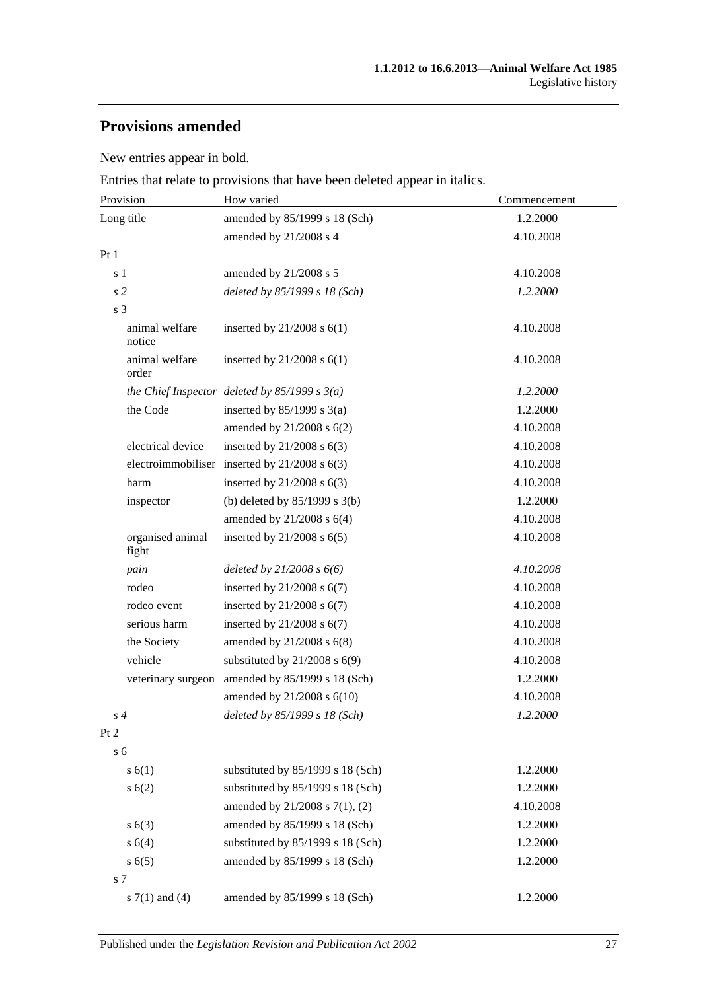# **Provisions amended**

New entries appear in bold.

Entries that relate to provisions that have been deleted appear in italics.

| Provision                 | How varied                                        | Commencement |
|---------------------------|---------------------------------------------------|--------------|
| Long title                | amended by 85/1999 s 18 (Sch)                     | 1.2.2000     |
|                           | amended by 21/2008 s 4                            | 4.10.2008    |
| Pt1                       |                                                   |              |
| s <sub>1</sub>            | amended by 21/2008 s 5                            | 4.10.2008    |
| s <sub>2</sub>            | deleted by 85/1999 s 18 (Sch)                     | 1.2.2000     |
| s 3                       |                                                   |              |
| animal welfare<br>notice  | inserted by $21/2008$ s $6(1)$                    | 4.10.2008    |
| animal welfare<br>order   | inserted by $21/2008$ s $6(1)$                    | 4.10.2008    |
|                           | the Chief Inspector deleted by $85/1999 s 3(a)$   | 1.2.2000     |
| the Code                  | inserted by $85/1999$ s 3(a)                      | 1.2.2000     |
|                           | amended by $21/2008$ s $6(2)$                     | 4.10.2008    |
| electrical device         | inserted by $21/2008$ s $6(3)$                    | 4.10.2008    |
|                           | electroimmobiliser inserted by $21/2008$ s $6(3)$ | 4.10.2008    |
| harm                      | inserted by $21/2008$ s $6(3)$                    | 4.10.2008    |
| inspector                 | (b) deleted by $85/1999$ s $3(b)$                 | 1.2.2000     |
|                           | amended by $21/2008$ s $6(4)$                     | 4.10.2008    |
| organised animal<br>fight | inserted by $21/2008$ s $6(5)$                    | 4.10.2008    |
| pain                      | deleted by $21/2008 s 6(6)$                       | 4.10.2008    |
| rodeo                     | inserted by 21/2008 s 6(7)                        | 4.10.2008    |
| rodeo event               | inserted by $21/2008$ s $6(7)$                    | 4.10.2008    |
| serious harm              | inserted by $21/2008$ s $6(7)$                    | 4.10.2008    |
| the Society               | amended by $21/2008$ s $6(8)$                     | 4.10.2008    |
| vehicle                   | substituted by $21/2008$ s $6(9)$                 | 4.10.2008    |
| veterinary surgeon        | amended by 85/1999 s 18 (Sch)                     | 1.2.2000     |
|                           | amended by 21/2008 s 6(10)                        | 4.10.2008    |
| s 4                       | deleted by 85/1999 s 18 (Sch)                     | 1.2.2000     |
| Pt 2                      |                                                   |              |
| s <sub>6</sub>            |                                                   |              |
| s(6(1))                   | substituted by 85/1999 s 18 (Sch)                 | 1.2.2000     |
| s(6(2))                   | substituted by 85/1999 s 18 (Sch)                 | 1.2.2000     |
|                           | amended by 21/2008 s 7(1), (2)                    | 4.10.2008    |
| s(6(3))                   | amended by 85/1999 s 18 (Sch)                     | 1.2.2000     |
| s(4)                      | substituted by 85/1999 s 18 (Sch)                 | 1.2.2000     |
| s(6(5)                    | amended by 85/1999 s 18 (Sch)                     | 1.2.2000     |
| s 7                       |                                                   |              |
| s $7(1)$ and $(4)$        | amended by 85/1999 s 18 (Sch)                     | 1.2.2000     |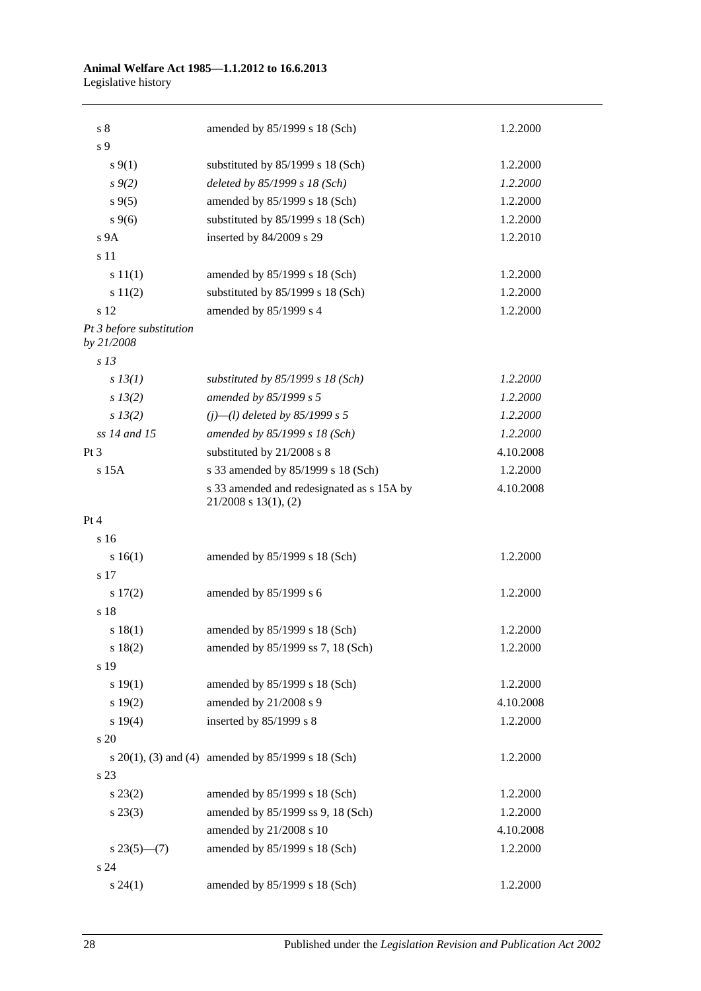#### **Animal Welfare Act 1985—1.1.2012 to 16.6.2013** Legislative history

| s <sub>8</sub>                         | amended by 85/1999 s 18 (Sch)                                          | 1.2.2000  |
|----------------------------------------|------------------------------------------------------------------------|-----------|
| s 9                                    |                                                                        |           |
| $s \, 9(1)$                            | substituted by 85/1999 s 18 (Sch)                                      | 1.2.2000  |
| $s \, 9(2)$                            | deleted by 85/1999 s 18 (Sch)                                          | 1.2.2000  |
| $s \, 9(5)$                            | amended by 85/1999 s 18 (Sch)                                          | 1.2.2000  |
| $s \, 9(6)$                            | substituted by 85/1999 s 18 (Sch)                                      | 1.2.2000  |
| s <sub>9A</sub>                        | inserted by 84/2009 s 29                                               | 1.2.2010  |
| s 11                                   |                                                                        |           |
| s 11(1)                                | amended by 85/1999 s 18 (Sch)                                          | 1.2.2000  |
| s 11(2)                                | substituted by 85/1999 s 18 (Sch)                                      | 1.2.2000  |
| s 12                                   | amended by 85/1999 s 4                                                 | 1.2.2000  |
| Pt 3 before substitution<br>by 21/2008 |                                                                        |           |
| s <sub>13</sub>                        |                                                                        |           |
| $s$ 13(1)                              | substituted by $85/1999 s 18$ (Sch)                                    | 1.2.2000  |
| $s\,13(2)$                             | amended by 85/1999 s 5                                                 | 1.2.2000  |
| $s\,13(2)$                             | $(j)$ —(l) deleted by 85/1999 s 5                                      | 1.2.2000  |
| ss 14 and 15                           | amended by 85/1999 s 18 (Sch)                                          | 1.2.2000  |
| $Pt\,3$                                | substituted by 21/2008 s 8                                             | 4.10.2008 |
| s 15A                                  | s 33 amended by 85/1999 s 18 (Sch)                                     | 1.2.2000  |
|                                        | s 33 amended and redesignated as s 15A by<br>$21/2008$ s $13(1)$ , (2) | 4.10.2008 |
| Pt 4                                   |                                                                        |           |
| s 16                                   |                                                                        |           |
| s 16(1)                                | amended by 85/1999 s 18 (Sch)                                          | 1.2.2000  |
| s 17                                   |                                                                        |           |
| s 17(2)                                | amended by 85/1999 s 6                                                 | 1.2.2000  |
| s 18                                   |                                                                        |           |
| s 18(1)                                | amended by 85/1999 s 18 (Sch)                                          | 1.2.2000  |
| s 18(2)                                | amended by 85/1999 ss 7, 18 (Sch)                                      | 1.2.2000  |
| s 19                                   |                                                                        |           |
| s 19(1)                                | amended by 85/1999 s 18 (Sch)                                          | 1.2.2000  |
| s 19(2)                                | amended by 21/2008 s 9                                                 | 4.10.2008 |
| s 19(4)                                | inserted by 85/1999 s 8                                                | 1.2.2000  |
| s 20                                   |                                                                        |           |
|                                        | s $20(1)$ , (3) and (4) amended by $85/1999$ s 18 (Sch)                | 1.2.2000  |
| s 23                                   |                                                                        |           |
| $s\,23(2)$                             | amended by 85/1999 s 18 (Sch)                                          | 1.2.2000  |
| $s\,23(3)$                             | amended by 85/1999 ss 9, 18 (Sch)                                      | 1.2.2000  |
|                                        | amended by 21/2008 s 10                                                | 4.10.2008 |
| $s23(5)$ —(7)                          | amended by 85/1999 s 18 (Sch)                                          | 1.2.2000  |
| s 24                                   |                                                                        |           |
| $s\,24(1)$                             | amended by 85/1999 s 18 (Sch)                                          | 1.2.2000  |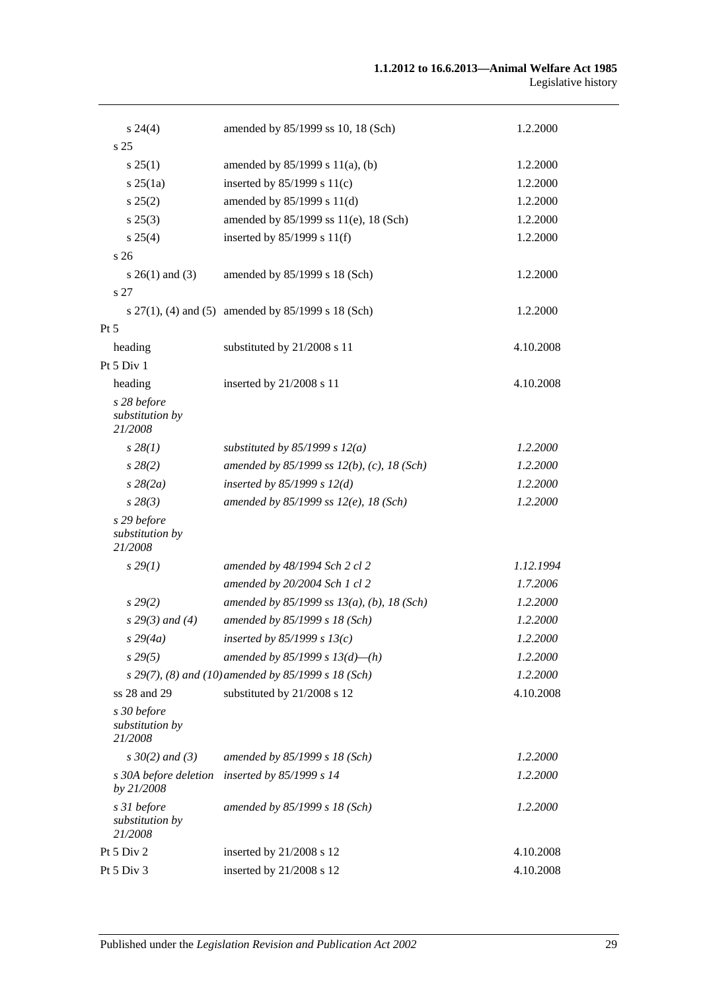| $s\,24(4)$                                | amended by 85/1999 ss 10, 18 (Sch)                  | 1.2.2000  |
|-------------------------------------------|-----------------------------------------------------|-----------|
| s 25                                      |                                                     |           |
| s 25(1)                                   | amended by $85/1999$ s $11(a)$ , (b)                | 1.2.2000  |
| $s \, 25(1a)$                             | inserted by $85/1999$ s $11(c)$                     | 1.2.2000  |
| s 25(2)                                   | amended by 85/1999 s 11(d)                          | 1.2.2000  |
| $s\,25(3)$                                | amended by 85/1999 ss 11(e), 18 (Sch)               | 1.2.2000  |
| s 25(4)                                   | inserted by $85/1999$ s $11(f)$                     | 1.2.2000  |
| s <sub>26</sub>                           |                                                     |           |
| $s \; 26(1)$ and (3)                      | amended by 85/1999 s 18 (Sch)                       | 1.2.2000  |
| s 27                                      |                                                     |           |
|                                           | s 27(1), (4) and (5) amended by 85/1999 s 18 (Sch)  | 1.2.2000  |
| $Pt\,5$                                   |                                                     |           |
| heading                                   | substituted by 21/2008 s 11                         | 4.10.2008 |
| Pt 5 Div 1                                |                                                     |           |
| heading                                   | inserted by 21/2008 s 11                            | 4.10.2008 |
| s 28 before<br>substitution by<br>21/2008 |                                                     |           |
| $s\,28(1)$                                | substituted by $85/1999$ s $12(a)$                  | 1.2.2000  |
| $s\,28(2)$                                | amended by 85/1999 ss $12(b)$ , (c), 18 (Sch)       | 1.2.2000  |
| $s\,28(2a)$                               | inserted by $85/1999 s 12(d)$                       | 1.2.2000  |
| $s\,28(3)$                                | amended by 85/1999 ss 12(e), 18 (Sch)               | 1.2.2000  |
| s 29 before<br>substitution by<br>21/2008 |                                                     |           |
| $s\,29(1)$                                | amended by 48/1994 Sch 2 cl 2                       | 1.12.1994 |
|                                           | amended by 20/2004 Sch 1 cl 2                       | 1.7.2006  |
| $s\,29(2)$                                | amended by 85/1999 ss $13(a)$ , (b), 18 (Sch)       | 1.2.2000  |
| $s$ 29(3) and (4)                         | amended by 85/1999 s 18 (Sch)                       | 1.2.2000  |
| $s\,29(4a)$                               | inserted by $85/1999 s 13(c)$                       | 1.2.2000  |
| $s\,29(5)$                                | amended by 85/1999 s $13(d)$ —(h)                   | 1.2.2000  |
|                                           | s 29(7), (8) and (10) amended by 85/1999 s 18 (Sch) | 1.2.2000  |
| ss 28 and 29                              | substituted by 21/2008 s 12                         | 4.10.2008 |
| s 30 before<br>substitution by<br>21/2008 |                                                     |           |
| $s \, 30(2)$ and (3)                      | amended by 85/1999 s 18 (Sch)                       | 1.2.2000  |
| s 30A before deletion<br>by 21/2008       | inserted by 85/1999 s 14                            | 1.2.2000  |
| s 31 before<br>substitution by<br>21/2008 | amended by 85/1999 s 18 (Sch)                       | 1.2.2000  |
| Pt 5 Div 2                                | inserted by 21/2008 s 12                            | 4.10.2008 |
| Pt 5 Div 3                                | inserted by 21/2008 s 12                            | 4.10.2008 |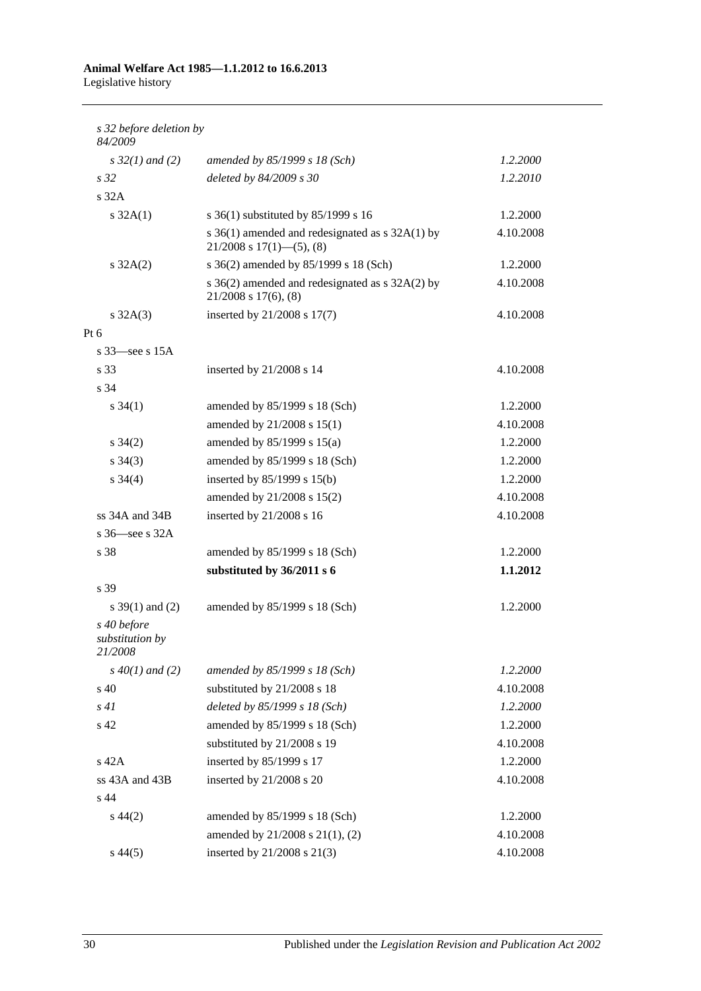# **Animal Welfare Act 1985—1.1.2012 to 16.6.2013**

Legislative history

| s 32 before deletion by<br>84/2009        |                                                                                      |           |
|-------------------------------------------|--------------------------------------------------------------------------------------|-----------|
| $s \, 32(1)$ and (2)                      | amended by 85/1999 s 18 (Sch)                                                        | 1.2.2000  |
| s <sub>32</sub>                           | deleted by 84/2009 s 30                                                              | 1.2.2010  |
| $s$ 32A                                   |                                                                                      |           |
| s $32A(1)$                                | s 36(1) substituted by 85/1999 s 16                                                  | 1.2.2000  |
|                                           | s $36(1)$ amended and redesignated as s $32A(1)$ by<br>$21/2008$ s $17(1)$ —(5), (8) | 4.10.2008 |
| $s \, 32A(2)$                             | s 36(2) amended by 85/1999 s 18 (Sch)                                                | 1.2.2000  |
|                                           | s 36(2) amended and redesignated as s 32A(2) by<br>$21/2008$ s $17(6)$ , $(8)$       | 4.10.2008 |
| $s \, 32A(3)$                             | inserted by 21/2008 s 17(7)                                                          | 4.10.2008 |
| $Pt\ 6$                                   |                                                                                      |           |
| s $33$ —see s $15A$                       |                                                                                      |           |
| s 33                                      | inserted by 21/2008 s 14                                                             | 4.10.2008 |
| s 34                                      |                                                                                      |           |
| $s \, 34(1)$                              | amended by 85/1999 s 18 (Sch)                                                        | 1.2.2000  |
|                                           | amended by 21/2008 s 15(1)                                                           | 4.10.2008 |
| $s \; 34(2)$                              | amended by 85/1999 s 15(a)                                                           | 1.2.2000  |
| $s \; 34(3)$                              | amended by 85/1999 s 18 (Sch)                                                        | 1.2.2000  |
| $s \; 34(4)$                              | inserted by 85/1999 s 15(b)                                                          | 1.2.2000  |
|                                           | amended by 21/2008 s 15(2)                                                           | 4.10.2008 |
| $ss$ 34A and 34B                          | inserted by 21/2008 s 16                                                             | 4.10.2008 |
| s $36$ see s $32A$                        |                                                                                      |           |
| s 38                                      | amended by 85/1999 s 18 (Sch)                                                        | 1.2.2000  |
|                                           | substituted by 36/2011 s 6                                                           | 1.1.2012  |
| s 39                                      |                                                                                      |           |
| s $39(1)$ and (2)                         | amended by 85/1999 s 18 (Sch)                                                        | 1.2.2000  |
| s 40 before<br>substitution by<br>21/2008 |                                                                                      |           |
| $s\,40(1)$ and (2)                        | amended by $85/1999 s 18$ (Sch)                                                      | 1.2.2000  |
| s 40                                      | substituted by 21/2008 s 18                                                          | 4.10.2008 |
| s41                                       | deleted by 85/1999 s 18 (Sch)                                                        | 1.2.2000  |
| s 42                                      | amended by 85/1999 s 18 (Sch)                                                        | 1.2.2000  |
|                                           | substituted by 21/2008 s 19                                                          | 4.10.2008 |
| $s$ 42 $A$                                | inserted by 85/1999 s 17                                                             | 1.2.2000  |
| ss 43A and 43B                            | inserted by 21/2008 s 20                                                             | 4.10.2008 |
| s 44                                      |                                                                                      |           |
| $s\,44(2)$                                | amended by 85/1999 s 18 (Sch)                                                        | 1.2.2000  |
|                                           | amended by 21/2008 s 21(1), (2)                                                      | 4.10.2008 |
| $s\,44(5)$                                | inserted by 21/2008 s 21(3)                                                          | 4.10.2008 |